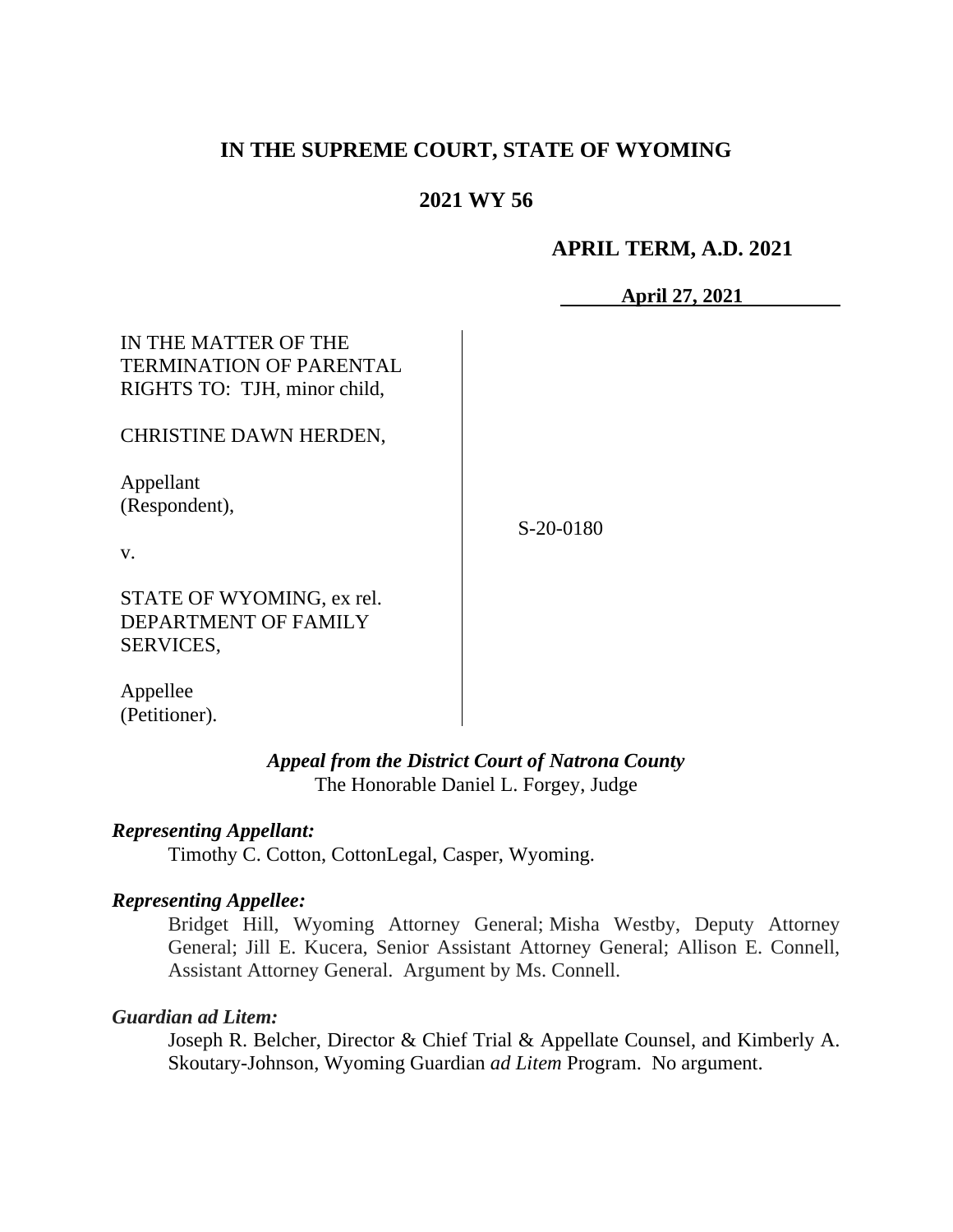## **IN THE SUPREME COURT, STATE OF WYOMING**

## **2021 WY 56**

#### **APRIL TERM, A.D. 2021**

**April 27, 2021**

| IN THE MATTER OF THE<br><b>TERMINATION OF PARENTAL</b><br>RIGHTS TO: TJH, minor child, |           |
|----------------------------------------------------------------------------------------|-----------|
| CHRISTINE DAWN HERDEN,                                                                 |           |
| Appellant<br>(Respondent),                                                             | S-20-0180 |
| V.                                                                                     |           |
| STATE OF WYOMING, ex rel.                                                              |           |

DEPARTMENT OF FAMILY SERVICES,

Appellee (Petitioner).

> *Appeal from the District Court of Natrona County* The Honorable Daniel L. Forgey, Judge

### *Representing Appellant:*

Timothy C. Cotton, CottonLegal, Casper, Wyoming.

#### *Representing Appellee:*

Bridget Hill, Wyoming Attorney General; Misha Westby, Deputy Attorney General; Jill E. Kucera, Senior Assistant Attorney General; Allison E. Connell, Assistant Attorney General. Argument by Ms. Connell.

#### *Guardian ad Litem:*

Joseph R. Belcher, Director & Chief Trial & Appellate Counsel, and Kimberly A. Skoutary-Johnson, Wyoming Guardian *ad Litem* Program. No argument.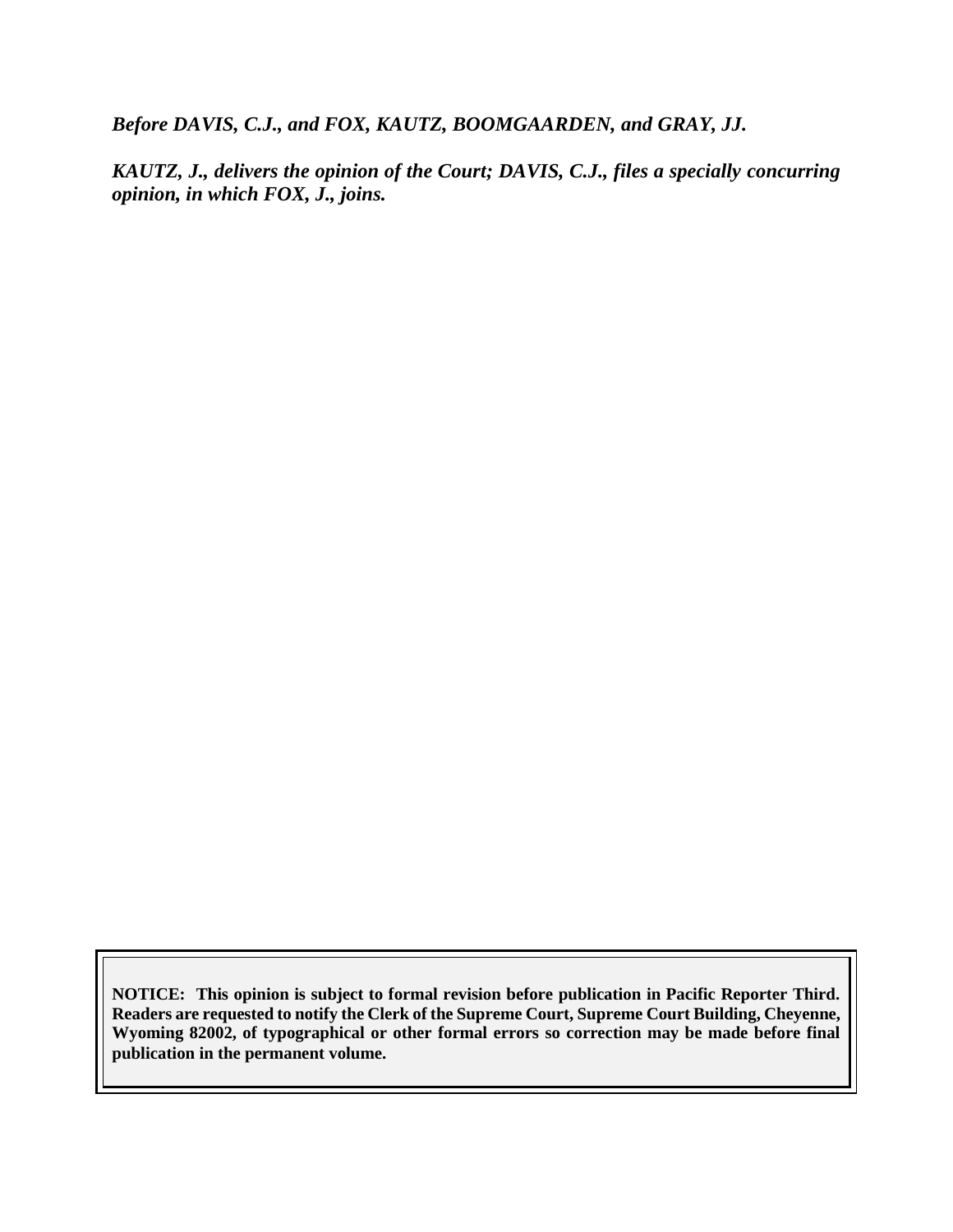*Before DAVIS, C.J., and FOX, KAUTZ, BOOMGAARDEN, and GRAY, JJ.*

*KAUTZ, J., delivers the opinion of the Court; DAVIS, C.J., files a specially concurring opinion, in which FOX, J., joins.*

**NOTICE: This opinion is subject to formal revision before publication in Pacific Reporter Third. Readers are requested to notify the Clerk of the Supreme Court, Supreme Court Building, Cheyenne, Wyoming 82002, of typographical or other formal errors so correction may be made before final publication in the permanent volume.**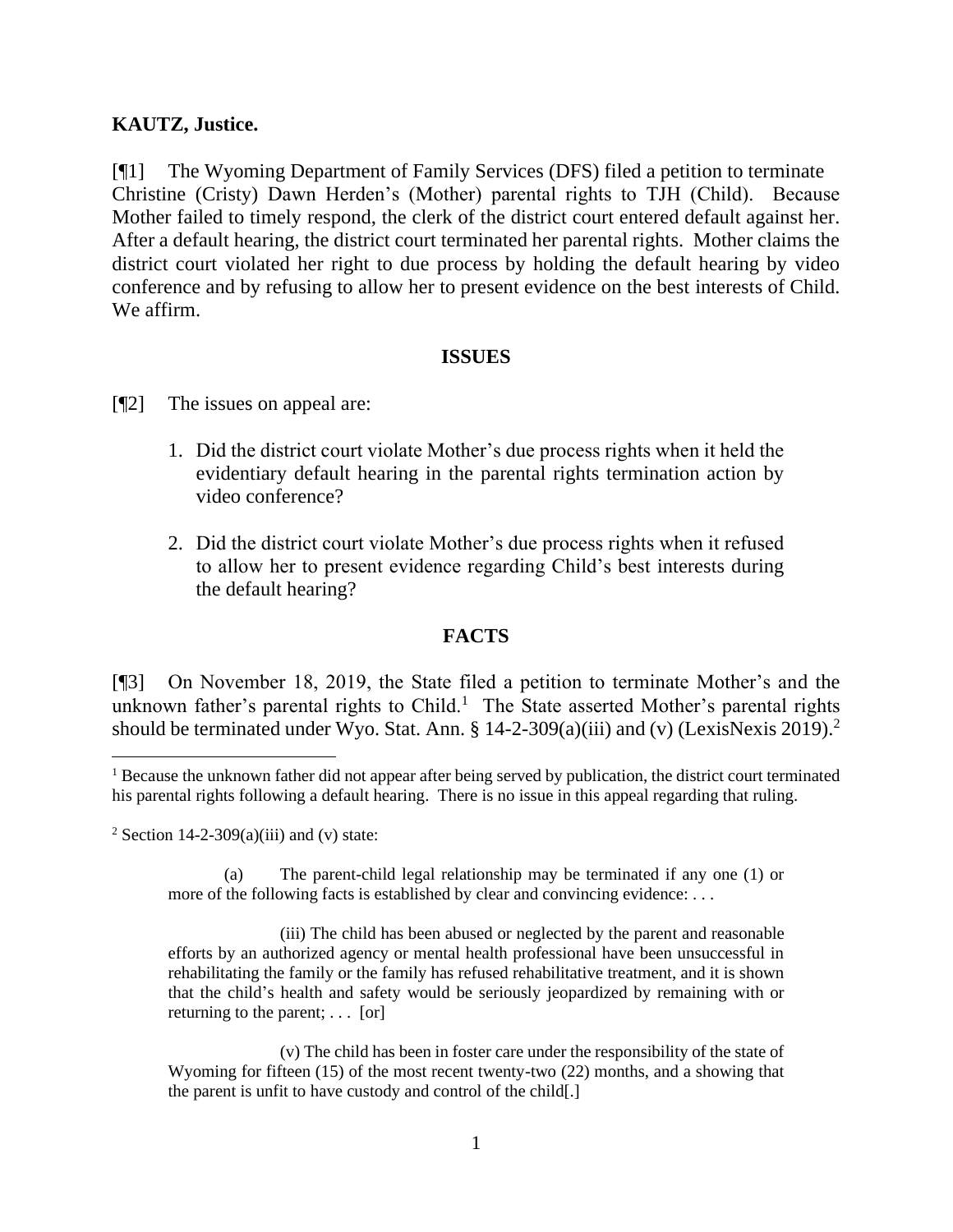## **KAUTZ, Justice.**

[¶1] The Wyoming Department of Family Services (DFS) filed a petition to terminate Christine (Cristy) Dawn Herden's (Mother) parental rights to TJH (Child). Because Mother failed to timely respond, the clerk of the district court entered default against her. After a default hearing, the district court terminated her parental rights. Mother claims the district court violated her right to due process by holding the default hearing by video conference and by refusing to allow her to present evidence on the best interests of Child. We affirm.

## **ISSUES**

- [¶2] The issues on appeal are:
	- 1. Did the district court violate Mother's due process rights when it held the evidentiary default hearing in the parental rights termination action by video conference?
	- 2. Did the district court violate Mother's due process rights when it refused to allow her to present evidence regarding Child's best interests during the default hearing?

## **FACTS**

[¶3] On November 18, 2019, the State filed a petition to terminate Mother's and the unknown father's parental rights to Child.<sup>1</sup> The State asserted Mother's parental rights should be terminated under Wyo. Stat. Ann.  $\S 14$ -2-309(a)(iii) and (v) (LexisNexis 2019).<sup>2</sup>

<sup>2</sup> Section 14-2-309(a)(iii) and (v) state:

(a) The parent-child legal relationship may be terminated if any one (1) or more of the following facts is established by clear and convincing evidence: . . .

(iii) The child has been abused or neglected by the parent and reasonable efforts by an authorized agency or mental health professional have been unsuccessful in rehabilitating the family or the family has refused rehabilitative treatment, and it is shown that the child's health and safety would be seriously jeopardized by remaining with or returning to the parent; . . . [or]

(v) The child has been in foster care under the responsibility of the state of Wyoming for fifteen (15) of the most recent twenty-two (22) months, and a showing that the parent is unfit to have custody and control of the child[.]

<sup>&</sup>lt;sup>1</sup> Because the unknown father did not appear after being served by publication, the district court terminated his parental rights following a default hearing. There is no issue in this appeal regarding that ruling.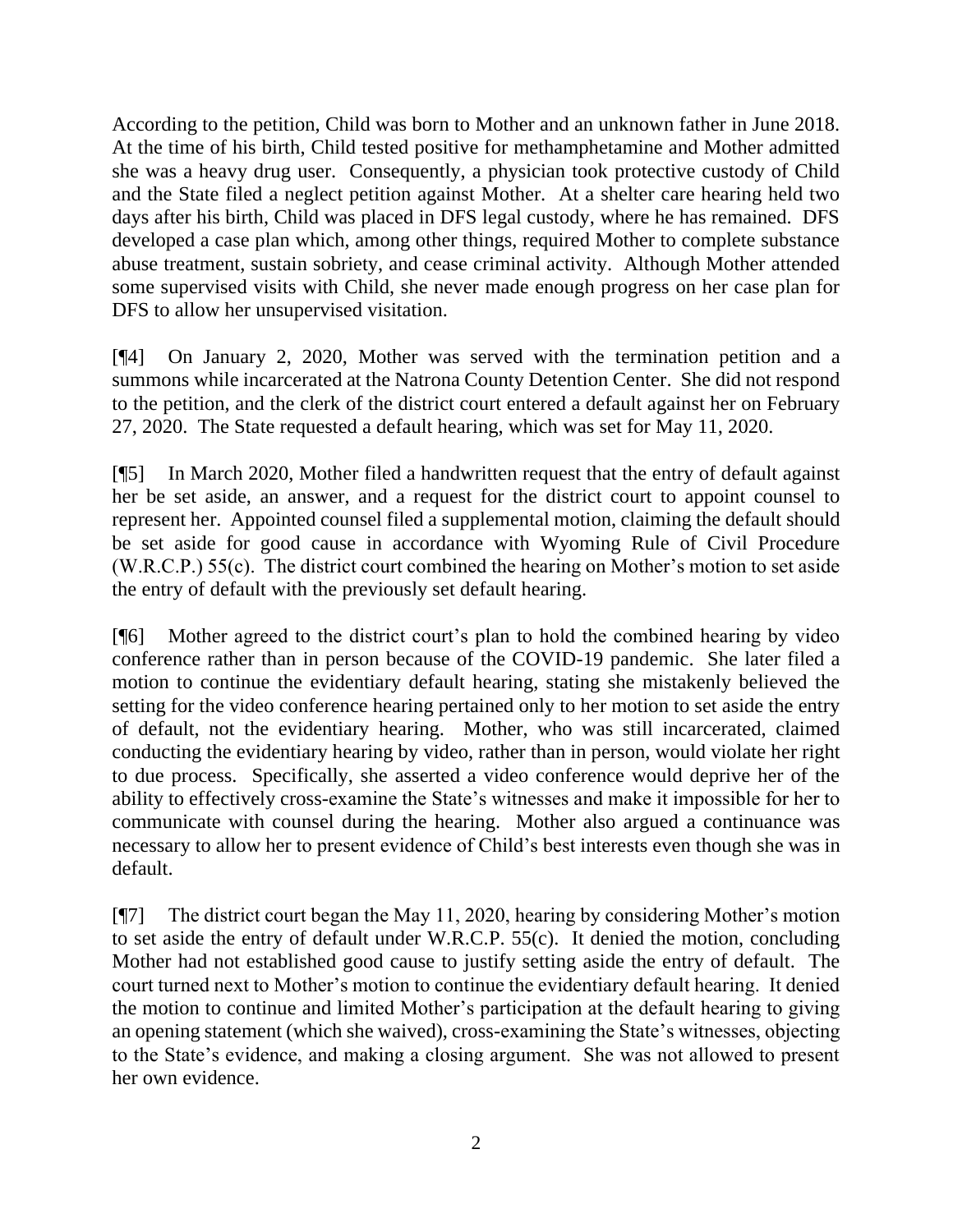According to the petition, Child was born to Mother and an unknown father in June 2018. At the time of his birth, Child tested positive for methamphetamine and Mother admitted she was a heavy drug user. Consequently, a physician took protective custody of Child and the State filed a neglect petition against Mother. At a shelter care hearing held two days after his birth, Child was placed in DFS legal custody, where he has remained. DFS developed a case plan which, among other things, required Mother to complete substance abuse treatment, sustain sobriety, and cease criminal activity. Although Mother attended some supervised visits with Child, she never made enough progress on her case plan for DFS to allow her unsupervised visitation.

[¶4] On January 2, 2020, Mother was served with the termination petition and a summons while incarcerated at the Natrona County Detention Center. She did not respond to the petition, and the clerk of the district court entered a default against her on February 27, 2020. The State requested a default hearing, which was set for May 11, 2020.

[¶5] In March 2020, Mother filed a handwritten request that the entry of default against her be set aside, an answer, and a request for the district court to appoint counsel to represent her. Appointed counsel filed a supplemental motion, claiming the default should be set aside for good cause in accordance with Wyoming Rule of Civil Procedure (W.R.C.P.) 55(c). The district court combined the hearing on Mother's motion to set aside the entry of default with the previously set default hearing.

[¶6] Mother agreed to the district court's plan to hold the combined hearing by video conference rather than in person because of the COVID-19 pandemic. She later filed a motion to continue the evidentiary default hearing, stating she mistakenly believed the setting for the video conference hearing pertained only to her motion to set aside the entry of default, not the evidentiary hearing. Mother, who was still incarcerated, claimed conducting the evidentiary hearing by video, rather than in person, would violate her right to due process. Specifically, she asserted a video conference would deprive her of the ability to effectively cross-examine the State's witnesses and make it impossible for her to communicate with counsel during the hearing. Mother also argued a continuance was necessary to allow her to present evidence of Child's best interests even though she was in default.

[¶7] The district court began the May 11, 2020, hearing by considering Mother's motion to set aside the entry of default under W.R.C.P. 55(c). It denied the motion, concluding Mother had not established good cause to justify setting aside the entry of default. The court turned next to Mother's motion to continue the evidentiary default hearing. It denied the motion to continue and limited Mother's participation at the default hearing to giving an opening statement (which she waived), cross-examining the State's witnesses, objecting to the State's evidence, and making a closing argument. She was not allowed to present her own evidence.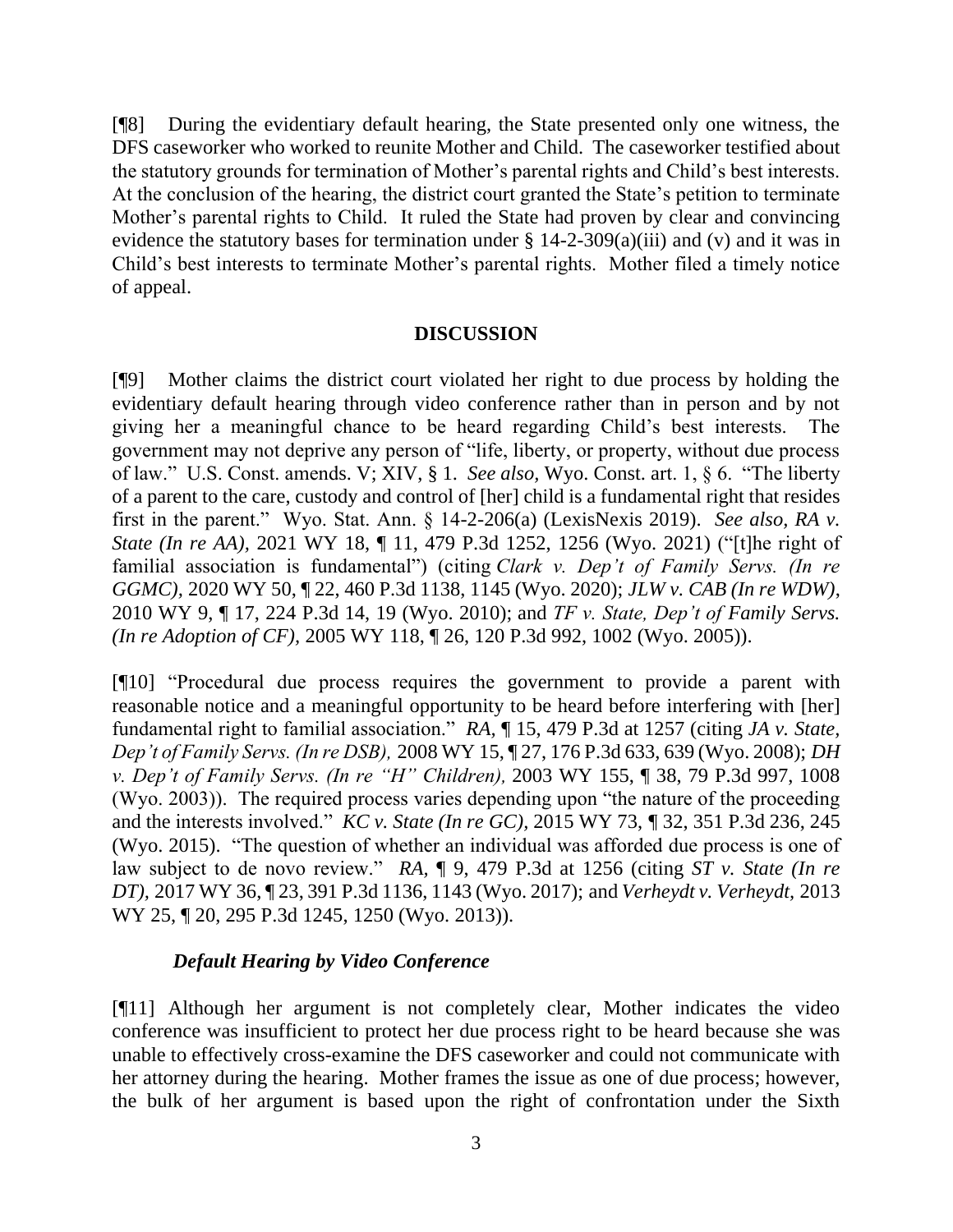[¶8] During the evidentiary default hearing, the State presented only one witness, the DFS caseworker who worked to reunite Mother and Child. The caseworker testified about the statutory grounds for termination of Mother's parental rights and Child's best interests. At the conclusion of the hearing, the district court granted the State's petition to terminate Mother's parental rights to Child. It ruled the State had proven by clear and convincing evidence the statutory bases for termination under § 14-2-309(a)(iii) and (v) and it was in Child's best interests to terminate Mother's parental rights. Mother filed a timely notice of appeal.

#### **DISCUSSION**

[¶9] Mother claims the district court violated her right to due process by holding the evidentiary default hearing through video conference rather than in person and by not giving her a meaningful chance to be heard regarding Child's best interests. The government may not deprive any person of "life, liberty, or property, without due process of law." U.S. Const. amends. V; XIV, § 1. *See also,* Wyo. Const. art. 1, § 6. "The liberty of a parent to the care, custody and control of [her] child is a fundamental right that resides first in the parent." Wyo. Stat. Ann. § 14-2-206(a) (LexisNexis 2019). *See also, RA v. State (In re AA),* 2021 WY 18, ¶ 11, 479 P.3d 1252, 1256 (Wyo. 2021) ("[t]he right of familial association is fundamental") (citing *Clark v. Dep't of Family Servs. (In re GGMC),* 2020 WY 50, ¶ 22, 460 P.3d 1138, 1145 (Wyo. 2020); *JLW v. CAB (In re WDW)*, 2010 WY 9, ¶ 17, 224 P.3d 14, 19 (Wyo. 2010); and *TF v. State, Dep't of Family Servs. (In re Adoption of CF),* 2005 WY 118, ¶ 26, 120 P.3d 992, 1002 (Wyo. 2005)).

[¶10] "Procedural due process requires the government to provide a parent with reasonable notice and a meaningful opportunity to be heard before interfering with [her] fundamental right to familial association." *RA,* ¶ 15, 479 P.3d at 1257 (citing *JA v. State, Dep't of Family Servs. (In re DSB),* 2008 WY 15, ¶ 27, 176 P.3d 633, 639 (Wyo. 2008); *DH v. Dep't of Family Servs. (In re "H" Children),* 2003 WY 155, ¶ 38, 79 P.3d 997, 1008 (Wyo. 2003)). The required process varies depending upon "the nature of the proceeding and the interests involved." *KC v. State (In re GC),* 2015 WY 73, *¶* 32, 351 P.3d 236, 245 (Wyo. 2015)."The question of whether an individual was afforded due process is one of law subject to de novo review." *RA,* ¶ 9, 479 P.3d at 1256 (citing *ST v. State (In re DT),* 2017 WY 36, ¶ 23, 391 P.3d 1136, 1143 (Wyo. 2017); and *Verheydt v. Verheydt,* 2013 WY 25, ¶ 20, 295 P.3d 1245, 1250 (Wyo. 2013)).

## *Default Hearing by Video Conference*

[¶11] Although her argument is not completely clear, Mother indicates the video conference was insufficient to protect her due process right to be heard because she was unable to effectively cross-examine the DFS caseworker and could not communicate with her attorney during the hearing. Mother frames the issue as one of due process; however, the bulk of her argument is based upon the right of confrontation under the Sixth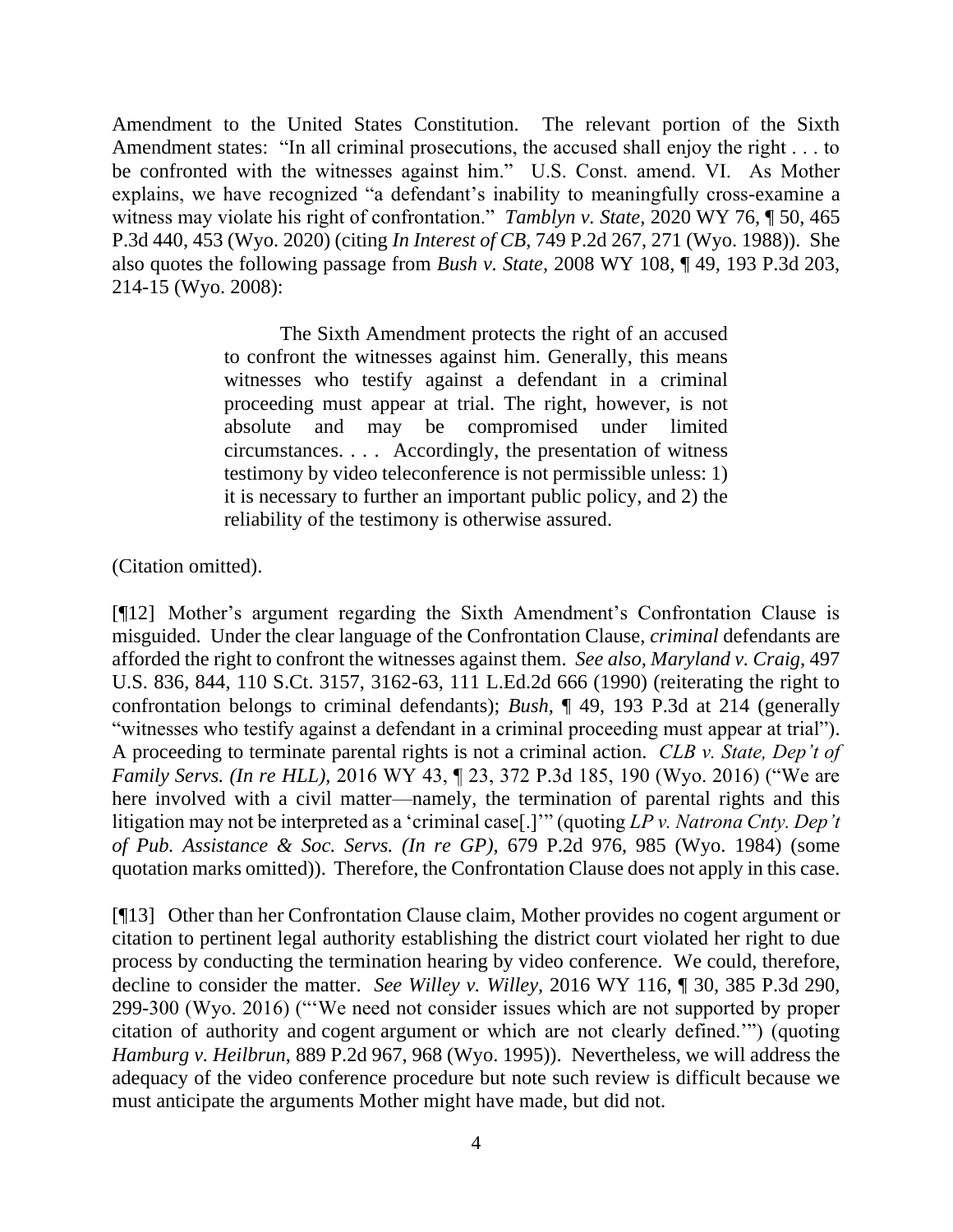Amendment to the United States Constitution. The relevant portion of the Sixth Amendment states: "In all criminal prosecutions, the accused shall enjoy the right . . . to be confronted with the witnesses against him." U.S. Const. amend. VI. As Mother explains, we have recognized "a defendant's inability to meaningfully cross-examine a witness may violate his right of confrontation." *Tamblyn v. State,* 2020 WY 76, ¶ 50, 465 P.3d 440, 453 (Wyo. 2020) (citing *In Interest of CB*, 749 P.2d 267, 271 (Wyo. 1988)). She also quotes the following passage from *Bush v. State,* 2008 WY 108, ¶ 49, 193 P.3d 203, 214-15 (Wyo. 2008):

> The Sixth Amendment protects the right of an accused to confront the witnesses against him. Generally, this means witnesses who testify against a defendant in a criminal proceeding must appear at trial. The right, however, is not absolute and may be compromised under limited circumstances. . . . Accordingly, the presentation of witness testimony by video teleconference is not permissible unless: 1) it is necessary to further an important public policy, and 2) the reliability of the testimony is otherwise assured.

(Citation omitted).

[¶12] Mother's argument regarding the Sixth Amendment's Confrontation Clause is misguided. Under the clear language of the Confrontation Clause, *criminal* defendants are afforded the right to confront the witnesses against them. *See also, Maryland v. Craig,* 497 U.S. 836, 844, 110 S.Ct. 3157, 3162-63, 111 L.Ed.2d 666 (1990) (reiterating the right to confrontation belongs to criminal defendants); *Bush,* ¶ 49, 193 P.3d at 214 (generally "witnesses who testify against a defendant in a criminal proceeding must appear at trial"). A proceeding to terminate parental rights is not a criminal action. *CLB v. State, Dep't of Family Servs. (In re HLL),* 2016 WY 43, ¶ 23, 372 P.3d 185, 190 (Wyo. 2016) ("We are here involved with a civil matter—namely, the termination of parental rights and this litigation may not be interpreted as a 'criminal case[.]'" (quoting *LP v. Natrona Cnty. Dep't of Pub. Assistance & Soc. Servs. (In re GP),* 679 P.2d 976, 985 (Wyo. 1984) (some quotation marks omitted)). Therefore, the Confrontation Clause does not apply in this case.

[¶13] Other than her Confrontation Clause claim, Mother provides no cogent argument or citation to pertinent legal authority establishing the district court violated her right to due process by conducting the termination hearing by video conference. We could, therefore, decline to consider the matter. *See Willey v. Willey,* 2016 WY 116, ¶ 30, 385 P.3d 290, 299-300 (Wyo. 2016) ("'We need not consider issues which are not supported by proper citation of authority and cogent argument or which are not clearly defined.'") (quoting *Hamburg v. Heilbrun*, 889 P.2d 967, 968 (Wyo. 1995)). Nevertheless, we will address the adequacy of the video conference procedure but note such review is difficult because we must anticipate the arguments Mother might have made, but did not.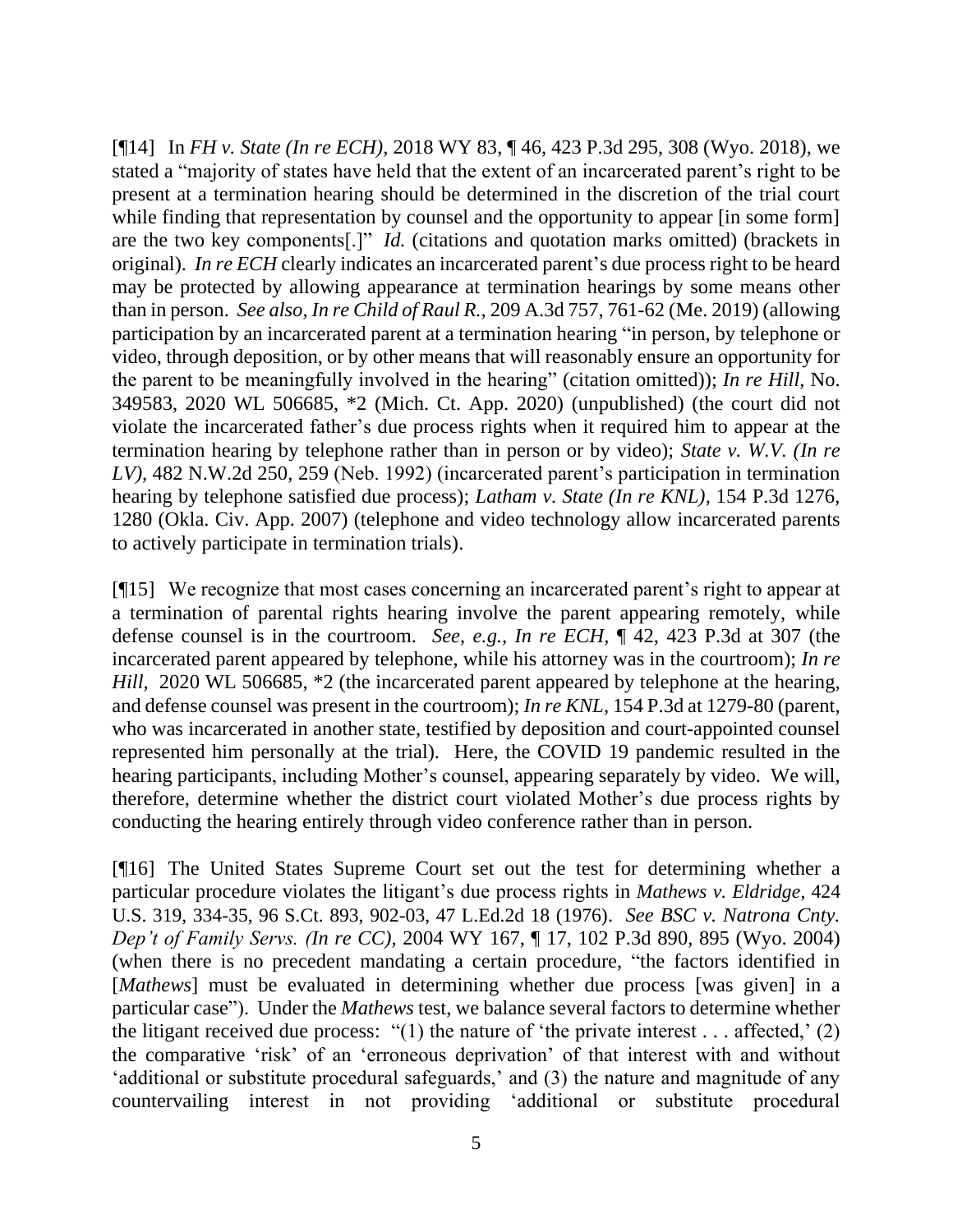[¶14] In *FH v. State (In re ECH),* 2018 WY 83, ¶ 46, 423 P.3d 295, 308 (Wyo. 2018), we stated a "majority of states have held that the extent of an incarcerated parent's right to be present at a termination hearing should be determined in the discretion of the trial court while finding that representation by counsel and the opportunity to appear [in some form] are the two key components[.]" *Id.* (citations and quotation marks omitted) (brackets in original). *In re ECH* clearly indicates an incarcerated parent's due process right to be heard may be protected by allowing appearance at termination hearings by some means other than in person. *See also, In re Child of Raul R.,* 209 A.3d 757, 761-62 (Me. 2019) (allowing participation by an incarcerated parent at a termination hearing "in person, by telephone or video, through deposition, or by other means that will reasonably ensure an opportunity for the parent to be meaningfully involved in the hearing" (citation omitted)); *In re Hill,* No. 349583, 2020 WL 506685, \*2 (Mich. Ct. App. 2020) (unpublished) (the court did not violate the incarcerated father's due process rights when it required him to appear at the termination hearing by telephone rather than in person or by video); *State v. W.V. (In re LV),* 482 N.W.2d 250, 259 (Neb. 1992) (incarcerated parent's participation in termination hearing by telephone satisfied due process); *Latham v. State (In re KNL),* 154 P.3d 1276, 1280 (Okla. Civ. App. 2007) (telephone and video technology allow incarcerated parents to actively participate in termination trials).

[¶15] We recognize that most cases concerning an incarcerated parent's right to appear at a termination of parental rights hearing involve the parent appearing remotely, while defense counsel is in the courtroom. *See, e.g., In re ECH,* ¶ 42, 423 P.3d at 307 (the incarcerated parent appeared by telephone, while his attorney was in the courtroom); *In re Hill,* 2020 WL 506685,  $*2$  (the incarcerated parent appeared by telephone at the hearing, and defense counsel was present in the courtroom); *In re KNL,* 154 P.3d at 1279-80 (parent, who was incarcerated in another state, testified by deposition and court-appointed counsel represented him personally at the trial)*.* Here, the COVID 19 pandemic resulted in the hearing participants, including Mother's counsel, appearing separately by video. We will, therefore, determine whether the district court violated Mother's due process rights by conducting the hearing entirely through video conference rather than in person.

[¶16] The United States Supreme Court set out the test for determining whether a particular procedure violates the litigant's due process rights in *Mathews v. Eldridge*, 424 U.S. 319, 334-35, 96 S.Ct. 893, 902-03, 47 L.Ed.2d 18 (1976). *See BSC v. Natrona Cnty. Dep't of Family Servs. (In re CC),* 2004 WY 167, ¶ 17, 102 P.3d 890, 895 (Wyo. 2004) (when there is no precedent mandating a certain procedure, "the factors identified in [*Mathews*] must be evaluated in determining whether due process [was given] in a particular case"). Under the *Mathews* test, we balance several factors to determine whether the litigant received due process: "(1) the nature of 'the private interest . . . affected,' (2) the comparative 'risk' of an 'erroneous deprivation' of that interest with and without 'additional or substitute procedural safeguards,' and (3) the nature and magnitude of any countervailing interest in not providing 'additional or substitute procedural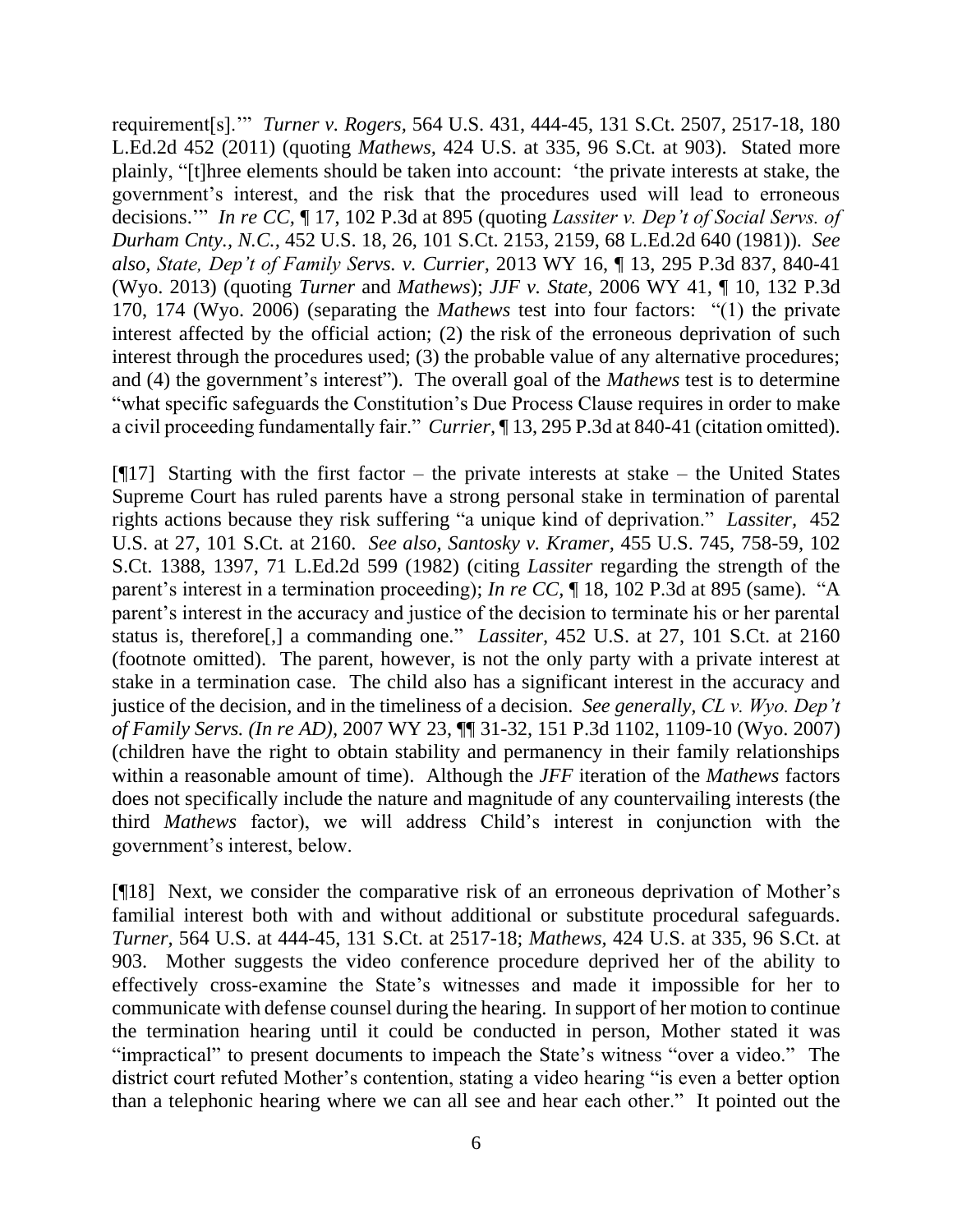requirement[s].'" *Turner v. Rogers,* 564 U.S. 431, 444-45, 131 S.Ct. 2507, 2517-18, 180 L.Ed.2d 452 (2011) (quoting *Mathews,* 424 U.S. at 335, 96 S.Ct. at 903). Stated more plainly, "[t]hree elements should be taken into account: 'the private interests at stake, the government's interest, and the risk that the procedures used will lead to erroneous decisions.'" *In re CC,* ¶ 17, 102 P.3d at 895 (quoting *Lassiter v. Dep't of Social Servs. of Durham Cnty., N.C.,* 452 U.S. 18, 26, 101 S.Ct. 2153, 2159, 68 L.Ed.2d 640 (1981)). *See also, State, Dep't of Family Servs. v. Currier,* 2013 WY 16, ¶ 13, 295 P.3d 837, 840-41 (Wyo. 2013) (quoting *Turner* and *Mathews*); *JJF v. State,* 2006 WY 41, ¶ 10, 132 P.3d 170, 174 (Wyo. 2006) (separating the *Mathews* test into four factors: "(1) the private interest affected by the official action; (2) the risk of the erroneous deprivation of such interest through the procedures used; (3) the probable value of any alternative procedures; and (4) the government's interest"). The overall goal of the *Mathews* test is to determine "what specific safeguards the Constitution's Due Process Clause requires in order to make a civil proceeding fundamentally fair." *Currier,* ¶ 13, 295 P.3d at 840-41 (citation omitted).

[ $[17]$ ] Starting with the first factor – the private interests at stake – the United States Supreme Court has ruled parents have a strong personal stake in termination of parental rights actions because they risk suffering "a unique kind of deprivation." *Lassiter,* 452 U.S. at 27, 101 S.Ct. at 2160. *See also, Santosky v. Kramer,* 455 U.S. 745, 758-59, 102 S.Ct. 1388, 1397, 71 L.Ed.2d 599 (1982) (citing *Lassiter* regarding the strength of the parent's interest in a termination proceeding); *In re CC,* ¶ 18, 102 P.3d at 895 (same). "A parent's interest in the accuracy and justice of the decision to terminate his or her parental status is, therefore[,] a commanding one." *Lassiter,* 452 U.S. at 27, 101 S.Ct. at 2160 (footnote omitted). The parent, however, is not the only party with a private interest at stake in a termination case. The child also has a significant interest in the accuracy and justice of the decision, and in the timeliness of a decision. *See generally, CL v. Wyo. Dep't of Family Servs. (In re AD),* 2007 WY 23, ¶¶ 31-32, 151 P.3d 1102, 1109-10 (Wyo. 2007) (children have the right to obtain stability and permanency in their family relationships within a reasonable amount of time). Although the *JFF* iteration of the *Mathews* factors does not specifically include the nature and magnitude of any countervailing interests (the third *Mathews* factor), we will address Child's interest in conjunction with the government's interest, below.

[¶18] Next, we consider the comparative risk of an erroneous deprivation of Mother's familial interest both with and without additional or substitute procedural safeguards. *Turner,* 564 U.S. at 444-45, 131 S.Ct. at 2517-18; *Mathews,* 424 U.S. at 335, 96 S.Ct. at 903. Mother suggests the video conference procedure deprived her of the ability to effectively cross-examine the State's witnesses and made it impossible for her to communicate with defense counsel during the hearing. In support of her motion to continue the termination hearing until it could be conducted in person, Mother stated it was "impractical" to present documents to impeach the State's witness "over a video." The district court refuted Mother's contention, stating a video hearing "is even a better option than a telephonic hearing where we can all see and hear each other." It pointed out the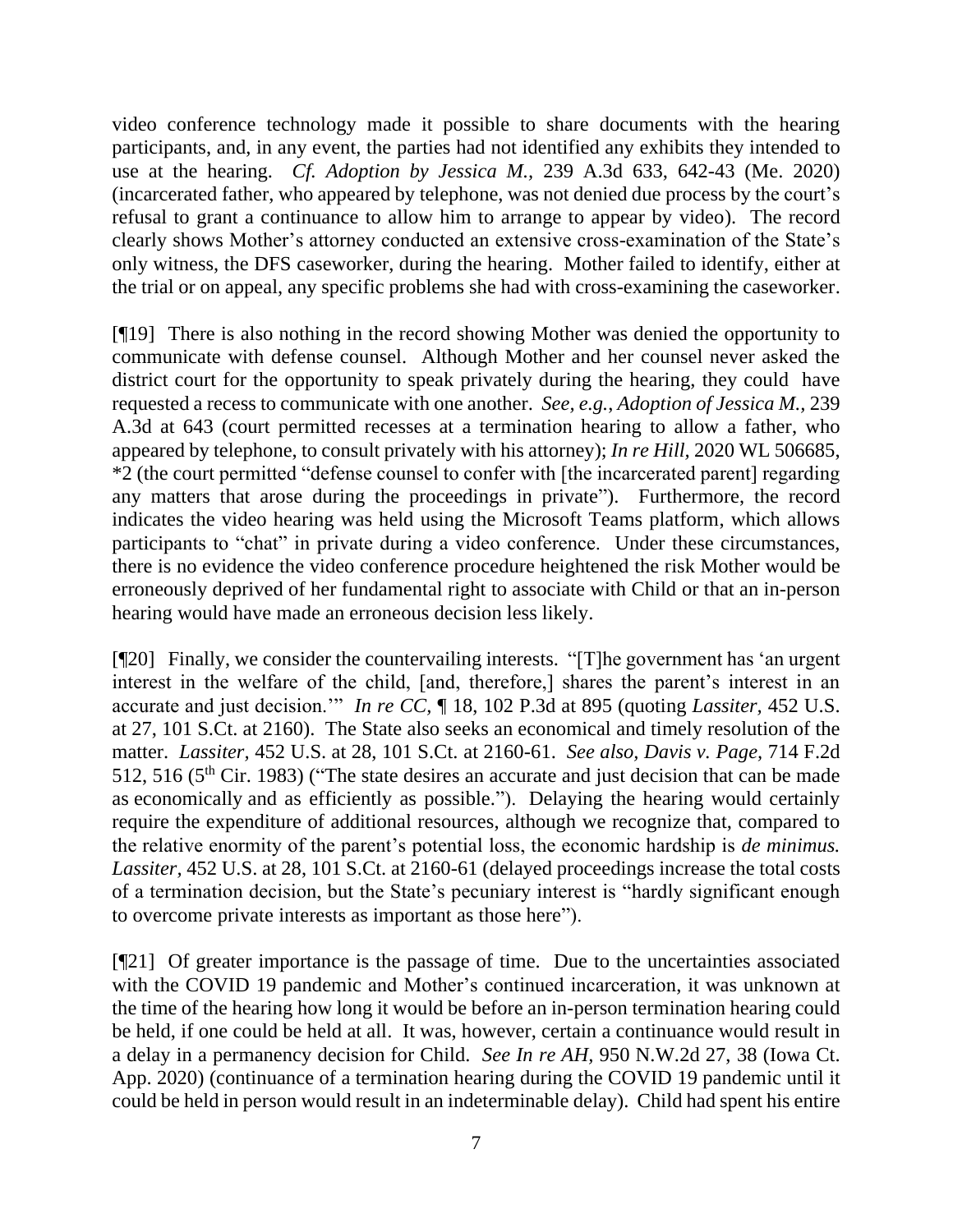video conference technology made it possible to share documents with the hearing participants, and, in any event, the parties had not identified any exhibits they intended to use at the hearing. *Cf. Adoption by Jessica M.,* 239 A.3d 633, 642-43 (Me. 2020) (incarcerated father, who appeared by telephone, was not denied due process by the court's refusal to grant a continuance to allow him to arrange to appear by video). The record clearly shows Mother's attorney conducted an extensive cross-examination of the State's only witness, the DFS caseworker, during the hearing. Mother failed to identify, either at the trial or on appeal, any specific problems she had with cross-examining the caseworker.

[¶19] There is also nothing in the record showing Mother was denied the opportunity to communicate with defense counsel. Although Mother and her counsel never asked the district court for the opportunity to speak privately during the hearing, they could have requested a recess to communicate with one another. *See, e.g.*, *Adoption of Jessica M.,* 239 A.3d at 643 (court permitted recesses at a termination hearing to allow a father, who appeared by telephone, to consult privately with his attorney); *In re Hill,* 2020 WL 506685, \*2 (the court permitted "defense counsel to confer with [the incarcerated parent] regarding any matters that arose during the proceedings in private"). Furthermore, the record indicates the video hearing was held using the Microsoft Teams platform, which allows participants to "chat" in private during a video conference. Under these circumstances, there is no evidence the video conference procedure heightened the risk Mother would be erroneously deprived of her fundamental right to associate with Child or that an in-person hearing would have made an erroneous decision less likely.

[¶20] Finally, we consider the countervailing interests. "[T]he government has 'an urgent interest in the welfare of the child, [and, therefore,] shares the parent's interest in an accurate and just decision.'" *In re CC,* ¶ 18, 102 P.3d at 895 (quoting *Lassiter,* 452 U.S. at 27, 101 S.Ct. at 2160). The State also seeks an economical and timely resolution of the matter. *Lassiter,* 452 U.S. at 28, 101 S.Ct. at 2160-61. *See also, Davis v. Page,* 714 F.2d 512, 516 ( $5<sup>th</sup>$  Cir. 1983) ("The state desires an accurate and just decision that can be made as economically and as efficiently as possible."). Delaying the hearing would certainly require the expenditure of additional resources, although we recognize that, compared to the relative enormity of the parent's potential loss, the economic hardship is *de minimus. Lassiter,* 452 U.S. at 28, 101 S.Ct. at 2160-61 (delayed proceedings increase the total costs of a termination decision, but the State's pecuniary interest is "hardly significant enough to overcome private interests as important as those here").

[¶21] Of greater importance is the passage of time. Due to the uncertainties associated with the COVID 19 pandemic and Mother's continued incarceration, it was unknown at the time of the hearing how long it would be before an in-person termination hearing could be held, if one could be held at all. It was, however, certain a continuance would result in a delay in a permanency decision for Child. *See In re AH,* 950 N.W.2d 27, 38 (Iowa Ct. App. 2020) (continuance of a termination hearing during the COVID 19 pandemic until it could be held in person would result in an indeterminable delay). Child had spent his entire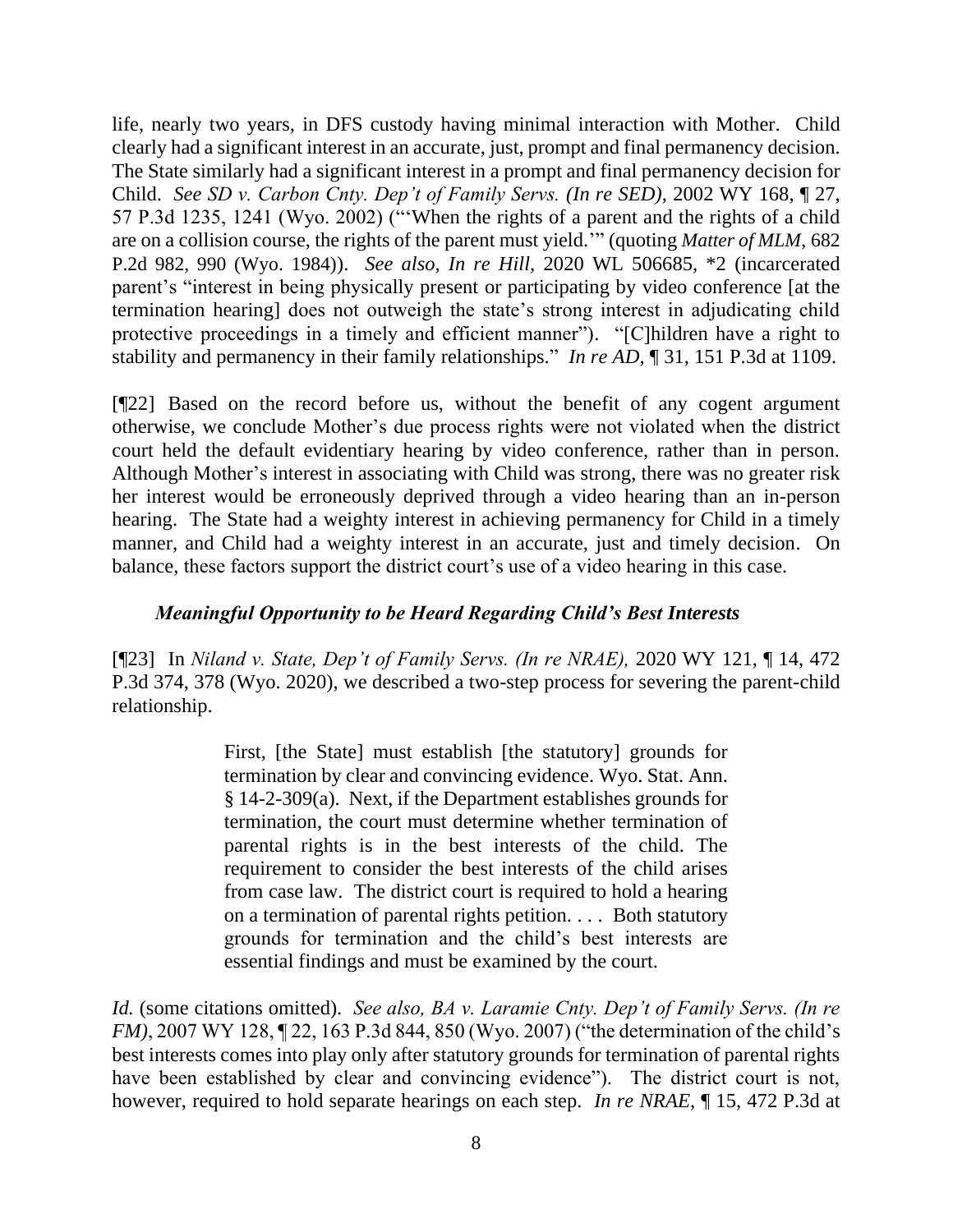life, nearly two years, in DFS custody having minimal interaction with Mother. Child clearly had a significant interest in an accurate, just, prompt and final permanency decision. The State similarly had a significant interest in a prompt and final permanency decision for Child. *See SD v. Carbon Cnty. Dep't of Family Servs. (In re SED),* 2002 WY 168, ¶ 27, 57 P.3d 1235, 1241 (Wyo. 2002) ("'When the rights of a parent and the rights of a child are on a collision course, the rights of the parent must yield.'" (quoting *Matter of MLM*, 682 P.2d 982, 990 (Wyo. 1984)). *See also, In re Hill,* 2020 WL 506685, \*2 (incarcerated parent's "interest in being physically present or participating by video conference [at the termination hearing] does not outweigh the state's strong interest in adjudicating child protective proceedings in a timely and efficient manner"). "[C]hildren have a right to stability and permanency in their family relationships." *In re AD,* ¶ 31, 151 P.3d at 1109.

[¶22] Based on the record before us, without the benefit of any cogent argument otherwise, we conclude Mother's due process rights were not violated when the district court held the default evidentiary hearing by video conference, rather than in person. Although Mother's interest in associating with Child was strong, there was no greater risk her interest would be erroneously deprived through a video hearing than an in-person hearing. The State had a weighty interest in achieving permanency for Child in a timely manner, and Child had a weighty interest in an accurate, just and timely decision. On balance, these factors support the district court's use of a video hearing in this case.

## *Meaningful Opportunity to be Heard Regarding Child's Best Interests*

[¶23] In *Niland v. State, Dep't of Family Servs. (In re NRAE),* 2020 WY 121, ¶ 14, 472 P.3d 374, 378 (Wyo. 2020), we described a two-step process for severing the parent-child relationship.

> First, [the State] must establish [the statutory] grounds for termination by clear and convincing evidence. Wyo. Stat. Ann. § 14-2-309(a). Next, if the Department establishes grounds for termination, the court must determine whether termination of parental rights is in the best interests of the child. The requirement to consider the best interests of the child arises from case law. The district court is required to hold a hearing on a termination of parental rights petition. . . . Both statutory grounds for termination and the child's best interests are essential findings and must be examined by the court.

*Id.* (some citations omitted). *See also, BA v. Laramie Cnty. Dep't of Family Servs. (In re FM*), 2007 WY 128, 122, 163 P.3d 844, 850 (Wyo. 2007) ("the determination of the child's best interests comes into play only after statutory grounds for termination of parental rights have been established by clear and convincing evidence"). The district court is not, however, required to hold separate hearings on each step. *In re NRAE*, ¶ 15, 472 P.3d at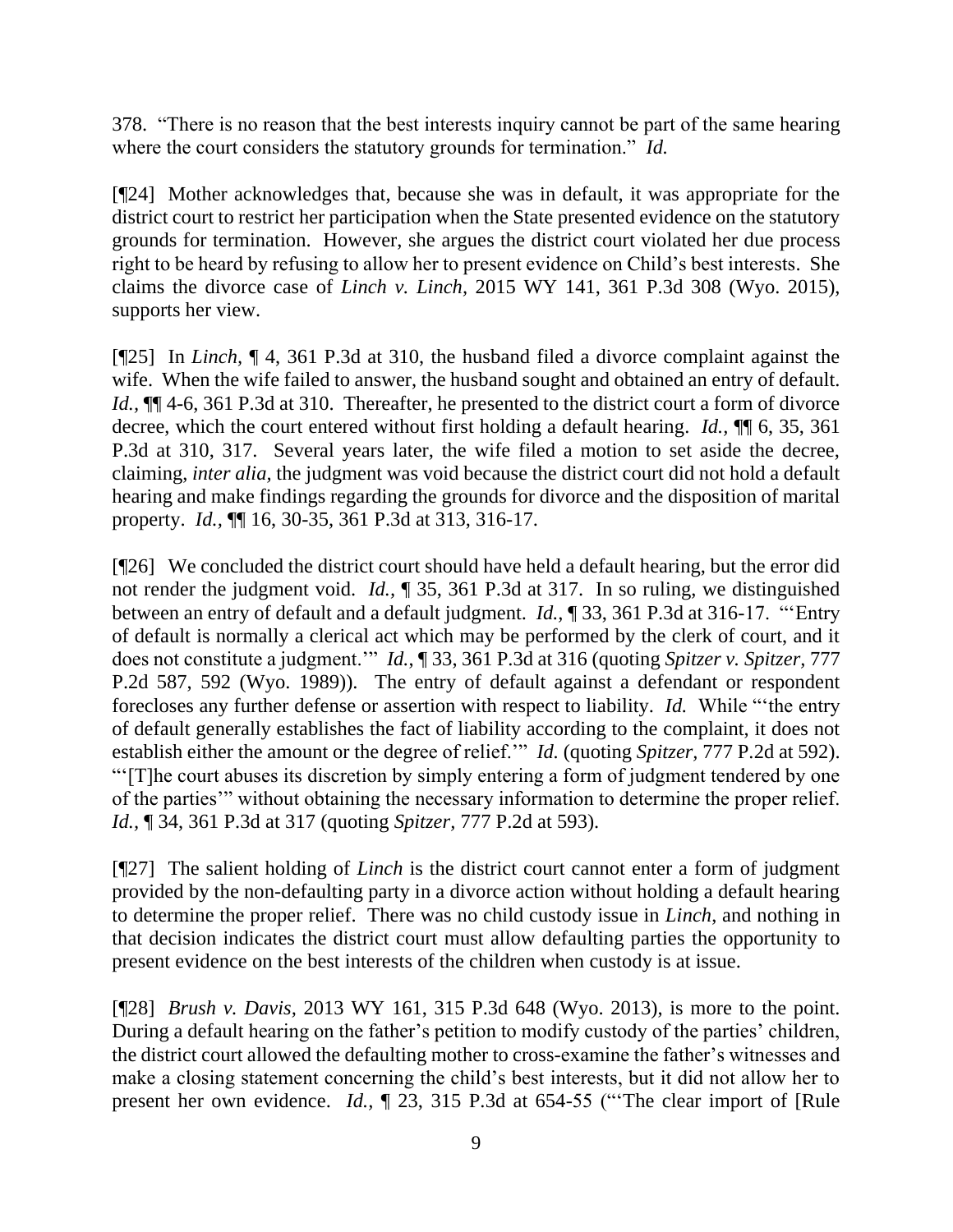378."There is no reason that the best interests inquiry cannot be part of the same hearing where the court considers the statutory grounds for termination." *Id.* 

[¶24] Mother acknowledges that, because she was in default, it was appropriate for the district court to restrict her participation when the State presented evidence on the statutory grounds for termination. However, she argues the district court violated her due process right to be heard by refusing to allow her to present evidence on Child's best interests. She claims the divorce case of *Linch v. Linch,* 2015 WY 141, 361 P.3d 308 (Wyo. 2015), supports her view.

[¶25] In *Linch,* ¶ 4, 361 P.3d at 310, the husband filed a divorce complaint against the wife. When the wife failed to answer, the husband sought and obtained an entry of default. *Id.*,  $\P$  4-6, 361 P.3d at 310. Thereafter, he presented to the district court a form of divorce decree, which the court entered without first holding a default hearing. *Id.,* ¶¶ 6, 35, 361 P.3d at 310, 317. Several years later, the wife filed a motion to set aside the decree, claiming, *inter alia,* the judgment was void because the district court did not hold a default hearing and make findings regarding the grounds for divorce and the disposition of marital property. *Id.,* ¶¶ 16, 30-35, 361 P.3d at 313, 316-17.

[¶26] We concluded the district court should have held a default hearing, but the error did not render the judgment void. *Id.,* ¶ 35, 361 P.3d at 317. In so ruling, we distinguished between an entry of default and a default judgment. *Id.,* ¶ 33, 361 P.3d at 316-17. "'Entry of default is normally a clerical act which may be performed by the clerk of court, and it does not constitute a judgment.'" *Id.*, ¶ 33, 361 P.3d at 316 (quoting *Spitzer v. Spitzer,* 777 P.2d 587, 592 (Wyo. 1989)). The entry of default against a defendant or respondent forecloses any further defense or assertion with respect to liability. *Id.* While "'the entry of default generally establishes the fact of liability according to the complaint, it does not establish either the amount or the degree of relief.'" *Id.* (quoting *Spitzer,* 777 P.2d at 592). "'[T]he court abuses its discretion by simply entering a form of judgment tendered by one of the parties'" without obtaining the necessary information to determine the proper relief. *Id.,* ¶ 34, 361 P.3d at 317 (quoting *Spitzer,* 777 P.2d at 593).

[¶27] The salient holding of *Linch* is the district court cannot enter a form of judgment provided by the non-defaulting party in a divorce action without holding a default hearing to determine the proper relief. There was no child custody issue in *Linch*, and nothing in that decision indicates the district court must allow defaulting parties the opportunity to present evidence on the best interests of the children when custody is at issue.

[¶28] *Brush v. Davis,* 2013 WY 161, 315 P.3d 648 (Wyo. 2013), is more to the point. During a default hearing on the father's petition to modify custody of the parties' children, the district court allowed the defaulting mother to cross-examine the father's witnesses and make a closing statement concerning the child's best interests, but it did not allow her to present her own evidence. *Id.,* ¶ 23, 315 P.3d at 654-55 ("'The clear import of [Rule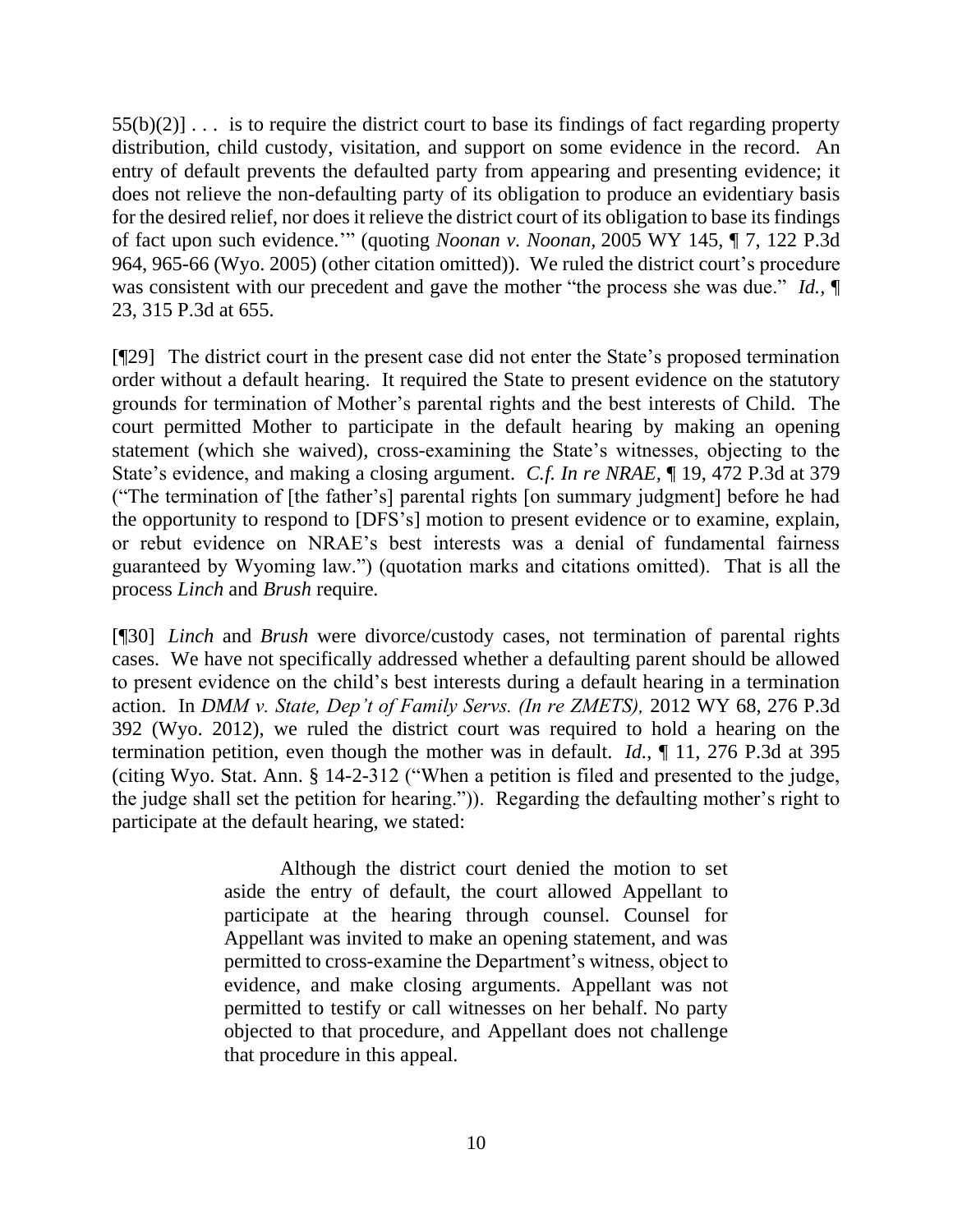$55(b)(2)$ ... is to require the district court to base its findings of fact regarding property distribution, child custody, visitation, and support on some evidence in the record. An entry of default prevents the defaulted party from appearing and presenting evidence; it does not relieve the non-defaulting party of its obligation to produce an evidentiary basis for the desired relief, nor does it relieve the district court of its obligation to base its findings of fact upon such evidence.'" (quoting *Noonan v. Noonan,* 2005 WY 145, ¶ 7, 122 P.3d 964, 965-66 (Wyo. 2005) (other citation omitted)). We ruled the district court's procedure was consistent with our precedent and gave the mother "the process she was due." *Id.*,  $\P$ 23, 315 P.3d at 655.

[¶29] The district court in the present case did not enter the State's proposed termination order without a default hearing. It required the State to present evidence on the statutory grounds for termination of Mother's parental rights and the best interests of Child. The court permitted Mother to participate in the default hearing by making an opening statement (which she waived), cross-examining the State's witnesses, objecting to the State's evidence, and making a closing argument. *C.f. In re NRAE,* ¶ 19, 472 P.3d at 379 ("The termination of [the father's] parental rights [on summary judgment] before he had the opportunity to respond to [DFS's] motion to present evidence or to examine, explain, or rebut evidence on NRAE's best interests was a denial of fundamental fairness guaranteed by Wyoming law.") (quotation marks and citations omitted). That is all the process *Linch* and *Brush* require*.* 

[¶30] *Linch* and *Brush* were divorce/custody cases, not termination of parental rights cases. We have not specifically addressed whether a defaulting parent should be allowed to present evidence on the child's best interests during a default hearing in a termination action. In *DMM v. State, Dep't of Family Servs. (In re ZMETS),* 2012 WY 68, 276 P.3d 392 (Wyo. 2012), we ruled the district court was required to hold a hearing on the termination petition, even though the mother was in default. *Id.*, ¶ 11, 276 P.3d at 395 (citing Wyo. Stat. Ann. § 14-2-312 ("When a petition is filed and presented to the judge, the judge shall set the petition for hearing.")). Regarding the defaulting mother's right to participate at the default hearing, we stated:

> Although the district court denied the motion to set aside the entry of default, the court allowed Appellant to participate at the hearing through counsel. Counsel for Appellant was invited to make an opening statement, and was permitted to cross-examine the Department's witness, object to evidence, and make closing arguments. Appellant was not permitted to testify or call witnesses on her behalf. No party objected to that procedure, and Appellant does not challenge that procedure in this appeal.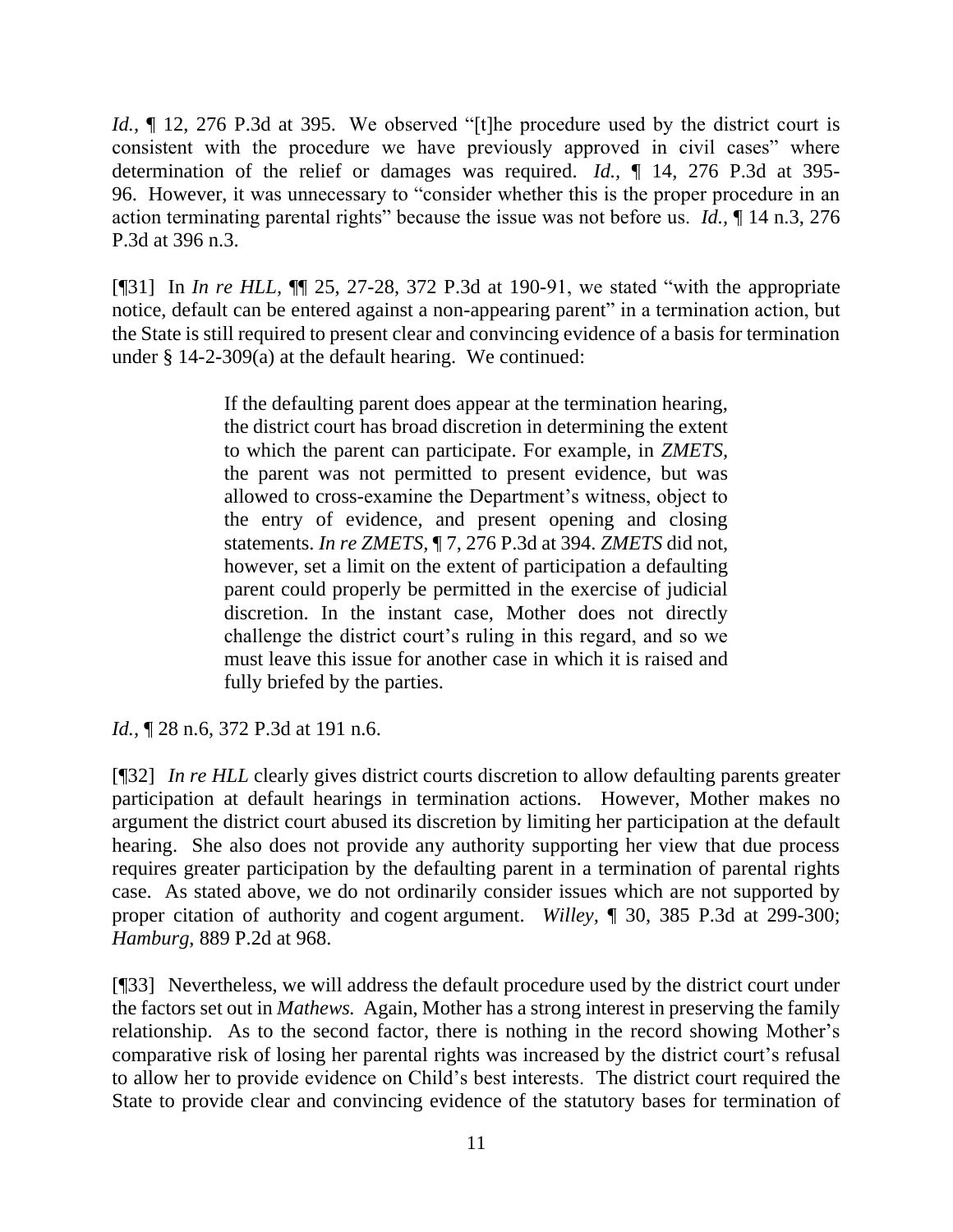*Id.*,  $\parallel$  12, 276 P.3d at 395. We observed "[t]he procedure used by the district court is consistent with the procedure we have previously approved in civil cases" where determination of the relief or damages was required. *Id.,* ¶ 14, 276 P.3d at 395- 96. However, it was unnecessary to "consider whether this is the proper procedure in an action terminating parental rights" because the issue was not before us. *Id.,* ¶ 14 n.3, 276 P.3d at 396 n.3.

[¶31] In *In re HLL,* ¶¶ 25, 27-28, 372 P.3d at 190-91, we stated "with the appropriate notice, default can be entered against a non-appearing parent" in a termination action, but the State is still required to present clear and convincing evidence of a basis for termination under § 14-2-309(a) at the default hearing.We continued:

> If the defaulting parent does appear at the termination hearing, the district court has broad discretion in determining the extent to which the parent can participate. For example, in *ZMETS,* the parent was not permitted to present evidence, but was allowed to cross-examine the Department's witness, object to the entry of evidence, and present opening and closing statements. *In re ZMETS,* ¶ 7, 276 P.3d at 394. *ZMETS* did not, however, set a limit on the extent of participation a defaulting parent could properly be permitted in the exercise of judicial discretion. In the instant case, Mother does not directly challenge the district court's ruling in this regard, and so we must leave this issue for another case in which it is raised and fully briefed by the parties.

*Id.,* ¶ 28 n.6, 372 P.3d at 191 n.6.

[¶32] *In re HLL* clearly gives district courts discretion to allow defaulting parents greater participation at default hearings in termination actions. However, Mother makes no argument the district court abused its discretion by limiting her participation at the default hearing. She also does not provide any authority supporting her view that due process requires greater participation by the defaulting parent in a termination of parental rights case. As stated above, we do not ordinarily consider issues which are not supported by proper citation of authority and cogent argument. *Willey,* ¶ 30, 385 P.3d at 299-300; *Hamburg*, 889 P.2d at 968.

[¶33] Nevertheless, we will address the default procedure used by the district court under the factors set out in *Mathews.* Again, Mother has a strong interest in preserving the family relationship. As to the second factor, there is nothing in the record showing Mother's comparative risk of losing her parental rights was increased by the district court's refusal to allow her to provide evidence on Child's best interests. The district court required the State to provide clear and convincing evidence of the statutory bases for termination of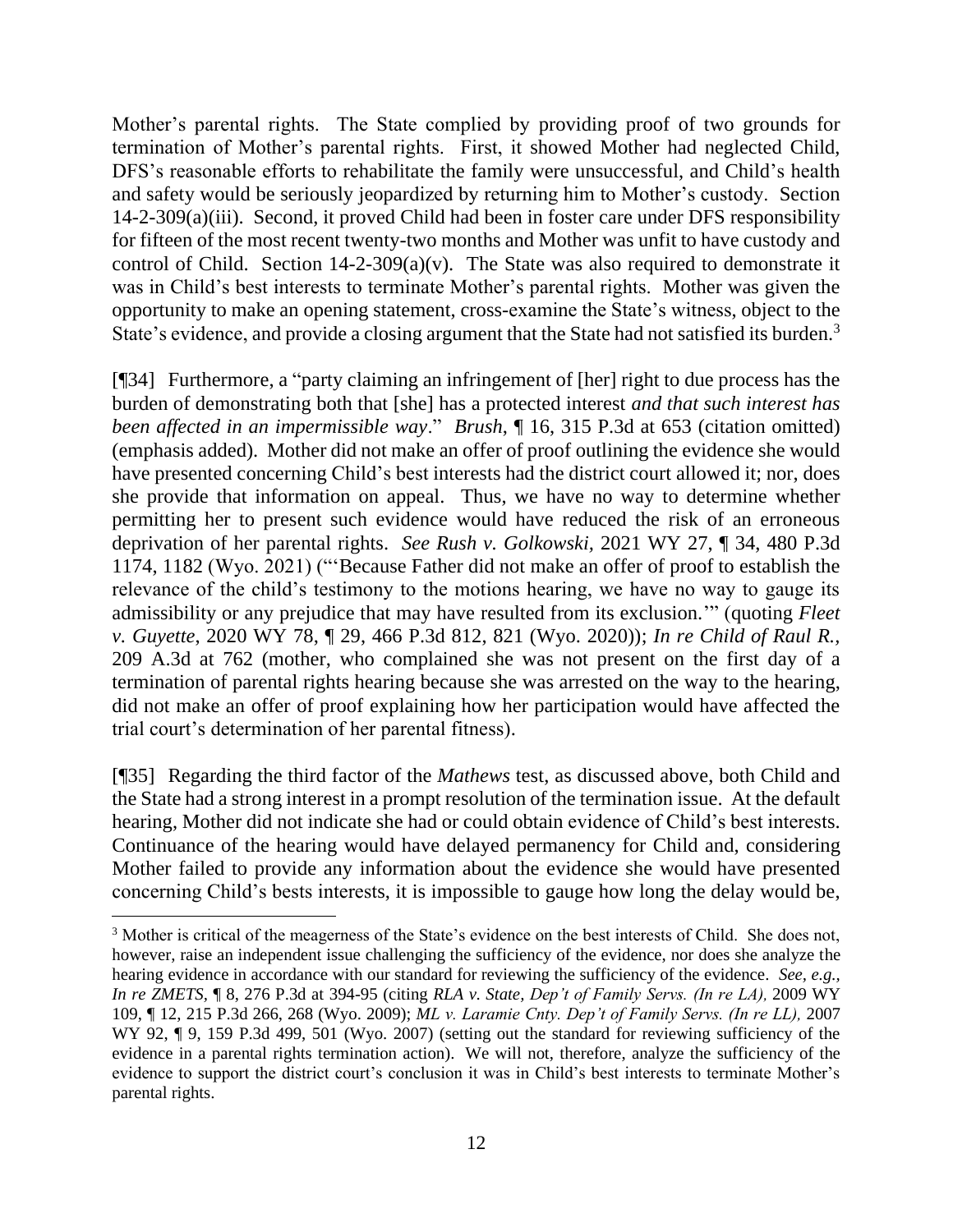Mother's parental rights. The State complied by providing proof of two grounds for termination of Mother's parental rights. First, it showed Mother had neglected Child, DFS's reasonable efforts to rehabilitate the family were unsuccessful, and Child's health and safety would be seriously jeopardized by returning him to Mother's custody. Section 14-2-309(a)(iii). Second, it proved Child had been in foster care under DFS responsibility for fifteen of the most recent twenty-two months and Mother was unfit to have custody and control of Child. Section  $14-2-309(a)(v)$ . The State was also required to demonstrate it was in Child's best interests to terminate Mother's parental rights. Mother was given the opportunity to make an opening statement, cross-examine the State's witness, object to the State's evidence, and provide a closing argument that the State had not satisfied its burden.<sup>3</sup>

[¶34] Furthermore, a "party claiming an infringement of [her] right to due process has the burden of demonstrating both that [she] has a protected interest *and that such interest has been affected in an impermissible way*." *Brush*, ¶ 16, 315 P.3d at 653 (citation omitted) (emphasis added). Mother did not make an offer of proof outlining the evidence she would have presented concerning Child's best interests had the district court allowed it; nor, does she provide that information on appeal. Thus, we have no way to determine whether permitting her to present such evidence would have reduced the risk of an erroneous deprivation of her parental rights. *See Rush v. Golkowski,* 2021 WY 27, ¶ 34, 480 P.3d 1174, 1182 (Wyo. 2021) ("'Because Father did not make an offer of proof to establish the relevance of the child's testimony to the motions hearing, we have no way to gauge its admissibility or any prejudice that may have resulted from its exclusion.'" (quoting *Fleet v. Guyette*, 2020 WY 78, ¶ 29, 466 P.3d 812, 821 (Wyo. 2020)); *In re Child of Raul R.,*  209 A.3d at 762 (mother, who complained she was not present on the first day of a termination of parental rights hearing because she was arrested on the way to the hearing, did not make an offer of proof explaining how her participation would have affected the trial court's determination of her parental fitness).

[¶35] Regarding the third factor of the *Mathews* test, as discussed above, both Child and the State had a strong interest in a prompt resolution of the termination issue. At the default hearing, Mother did not indicate she had or could obtain evidence of Child's best interests. Continuance of the hearing would have delayed permanency for Child and, considering Mother failed to provide any information about the evidence she would have presented concerning Child's bests interests, it is impossible to gauge how long the delay would be,

<sup>&</sup>lt;sup>3</sup> Mother is critical of the meagerness of the State's evidence on the best interests of Child. She does not, however, raise an independent issue challenging the sufficiency of the evidence, nor does she analyze the hearing evidence in accordance with our standard for reviewing the sufficiency of the evidence. *See, e.g., In re ZMETS,* ¶ 8, 276 P.3d at 394-95 (citing *RLA v. State, Dep't of Family Servs. (In re LA),* 2009 WY 109, ¶ 12, 215 P.3d 266, 268 (Wyo. 2009); *ML v. Laramie Cnty. Dep't of Family Servs. (In re LL),* 2007 WY 92,  $\P$  9, 159 P.3d 499, 501 (Wyo. 2007) (setting out the standard for reviewing sufficiency of the evidence in a parental rights termination action). We will not, therefore, analyze the sufficiency of the evidence to support the district court's conclusion it was in Child's best interests to terminate Mother's parental rights.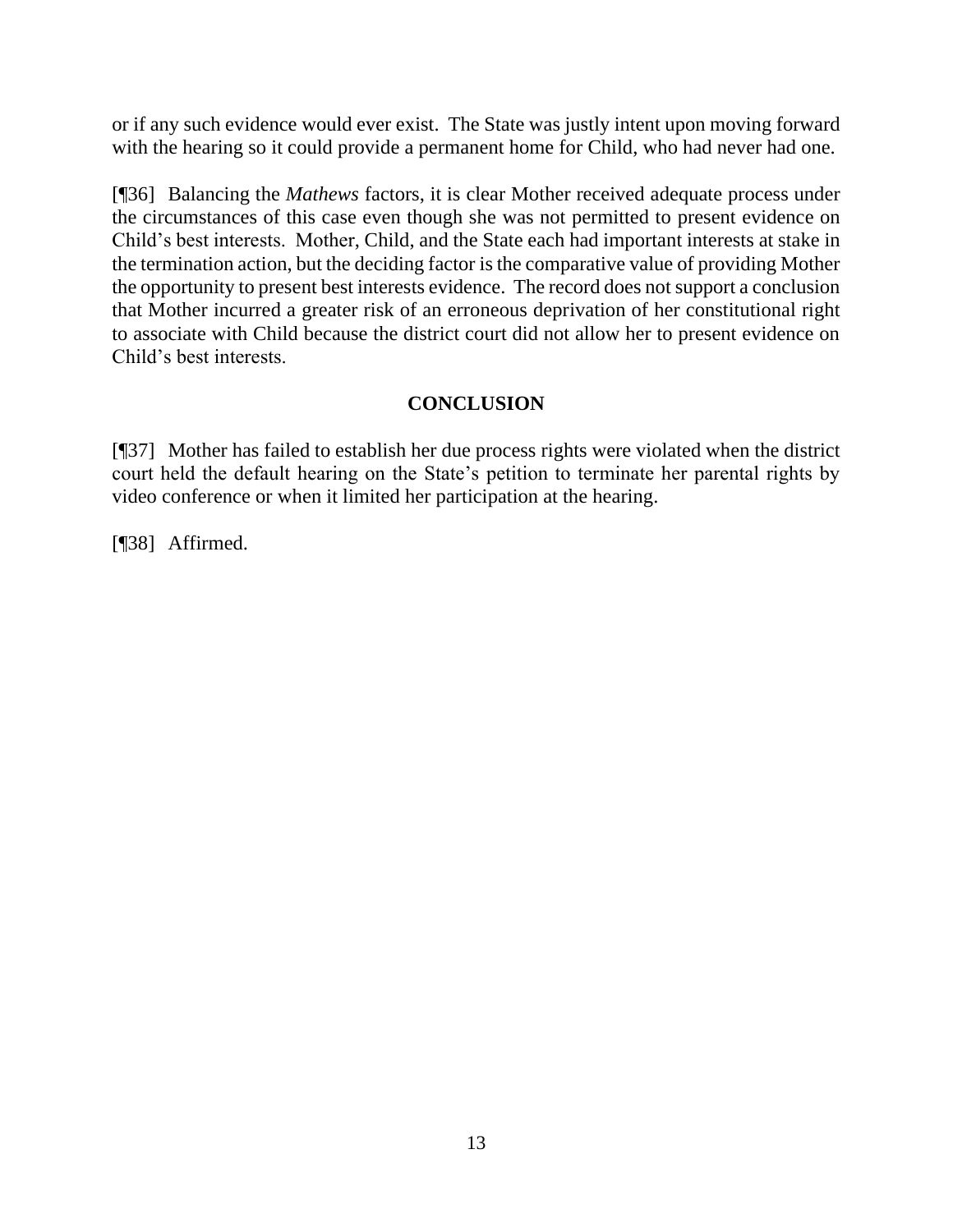or if any such evidence would ever exist. The State was justly intent upon moving forward with the hearing so it could provide a permanent home for Child, who had never had one.

[¶36] Balancing the *Mathews* factors, it is clear Mother received adequate process under the circumstances of this case even though she was not permitted to present evidence on Child's best interests. Mother, Child, and the State each had important interests at stake in the termination action, but the deciding factor is the comparative value of providing Mother the opportunity to present best interests evidence. The record does not support a conclusion that Mother incurred a greater risk of an erroneous deprivation of her constitutional right to associate with Child because the district court did not allow her to present evidence on Child's best interests.

# **CONCLUSION**

[¶37] Mother has failed to establish her due process rights were violated when the district court held the default hearing on the State's petition to terminate her parental rights by video conference or when it limited her participation at the hearing.

[¶38] Affirmed.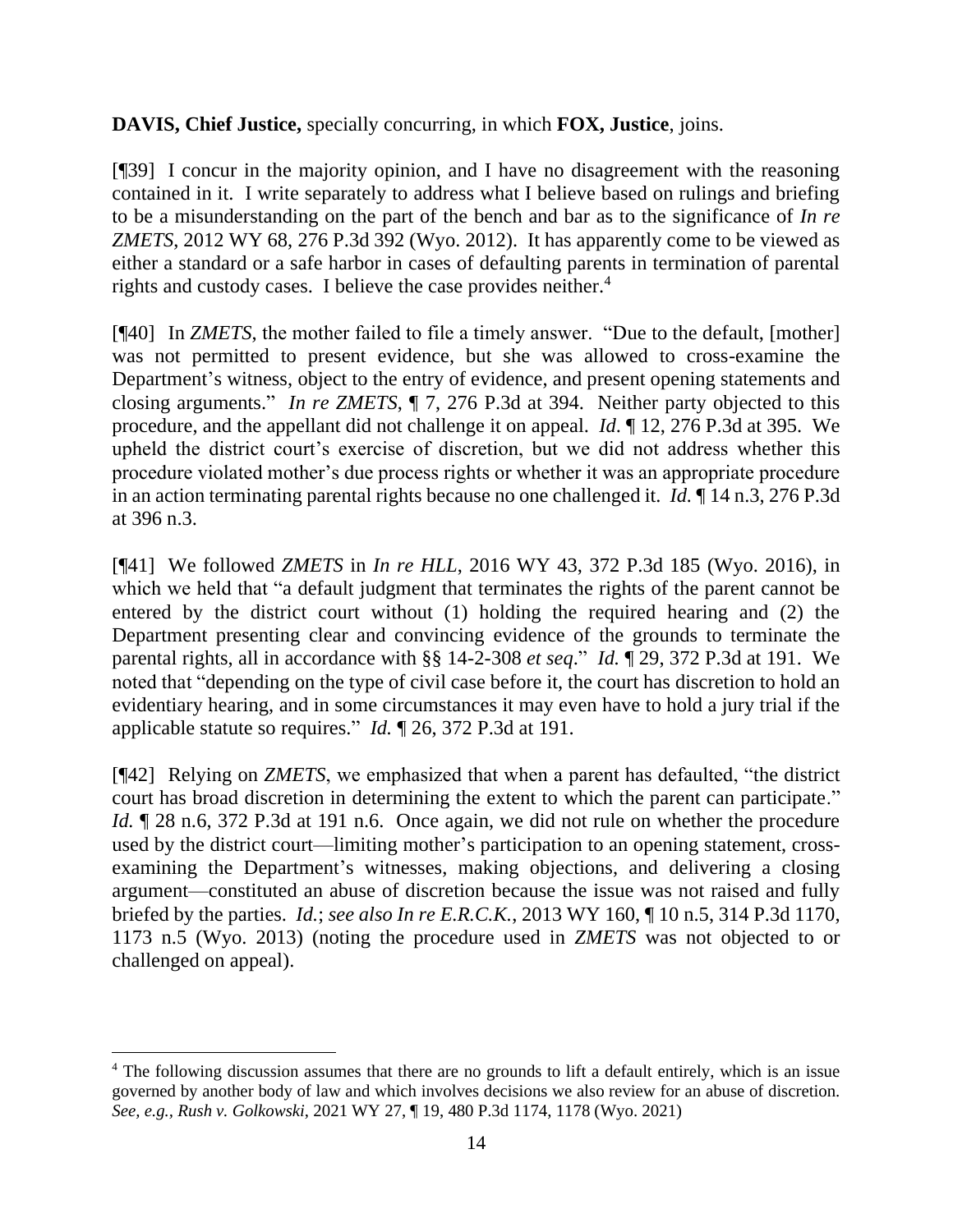**DAVIS, Chief Justice,** specially concurring, in which **FOX, Justice**, joins.

[¶39] I concur in the majority opinion, and I have no disagreement with the reasoning contained in it. I write separately to address what I believe based on rulings and briefing to be a misunderstanding on the part of the bench and bar as to the significance of *In re ZMETS*, 2012 WY 68, 276 P.3d 392 (Wyo. 2012). It has apparently come to be viewed as either a standard or a safe harbor in cases of defaulting parents in termination of parental rights and custody cases. I believe the case provides neither.<sup>4</sup>

[¶40] In *ZMETS*, the mother failed to file a timely answer. "Due to the default, [mother] was not permitted to present evidence, but she was allowed to cross-examine the Department's witness, object to the entry of evidence, and present opening statements and closing arguments." *In re ZMETS*, ¶ 7, 276 P.3d at 394. Neither party objected to this procedure, and the appellant did not challenge it on appeal. *Id*. ¶ 12, 276 P.3d at 395. We upheld the district court's exercise of discretion, but we did not address whether this procedure violated mother's due process rights or whether it was an appropriate procedure in an action terminating parental rights because no one challenged it. *Id.* ¶ 14 n.3, 276 P.3d at 396 n.3.

[¶41] We followed *ZMETS* in *In re HLL*, 2016 WY 43, 372 P.3d 185 (Wyo. 2016), in which we held that "a default judgment that terminates the rights of the parent cannot be entered by the district court without (1) holding the required hearing and (2) the Department presenting clear and convincing evidence of the grounds to terminate the parental rights, all in accordance with §§ 14-2-308 *et seq*." *Id.* ¶ 29, 372 P.3d at 191. We noted that "depending on the type of civil case before it, the court has discretion to hold an evidentiary hearing, and in some circumstances it may even have to hold a jury trial if the applicable statute so requires." *Id.* ¶ 26, 372 P.3d at 191.

[¶42] Relying on *ZMETS*, we emphasized that when a parent has defaulted, "the district court has broad discretion in determining the extent to which the parent can participate." *Id.*  $\sqrt{28}$  n.6, 372 P.3d at 191 n.6. Once again, we did not rule on whether the procedure used by the district court—limiting mother's participation to an opening statement, crossexamining the Department's witnesses, making objections, and delivering a closing argument—constituted an abuse of discretion because the issue was not raised and fully briefed by the parties. *Id.*; *see also In re E.R.C.K.*, 2013 WY 160, ¶ 10 n.5, 314 P.3d 1170, 1173 n.5 (Wyo. 2013) (noting the procedure used in *ZMETS* was not objected to or challenged on appeal).

<sup>&</sup>lt;sup>4</sup> The following discussion assumes that there are no grounds to lift a default entirely, which is an issue governed by another body of law and which involves decisions we also review for an abuse of discretion. *See, e.g., Rush v. Golkowski*, 2021 WY 27, ¶ 19, 480 P.3d 1174, 1178 (Wyo. 2021)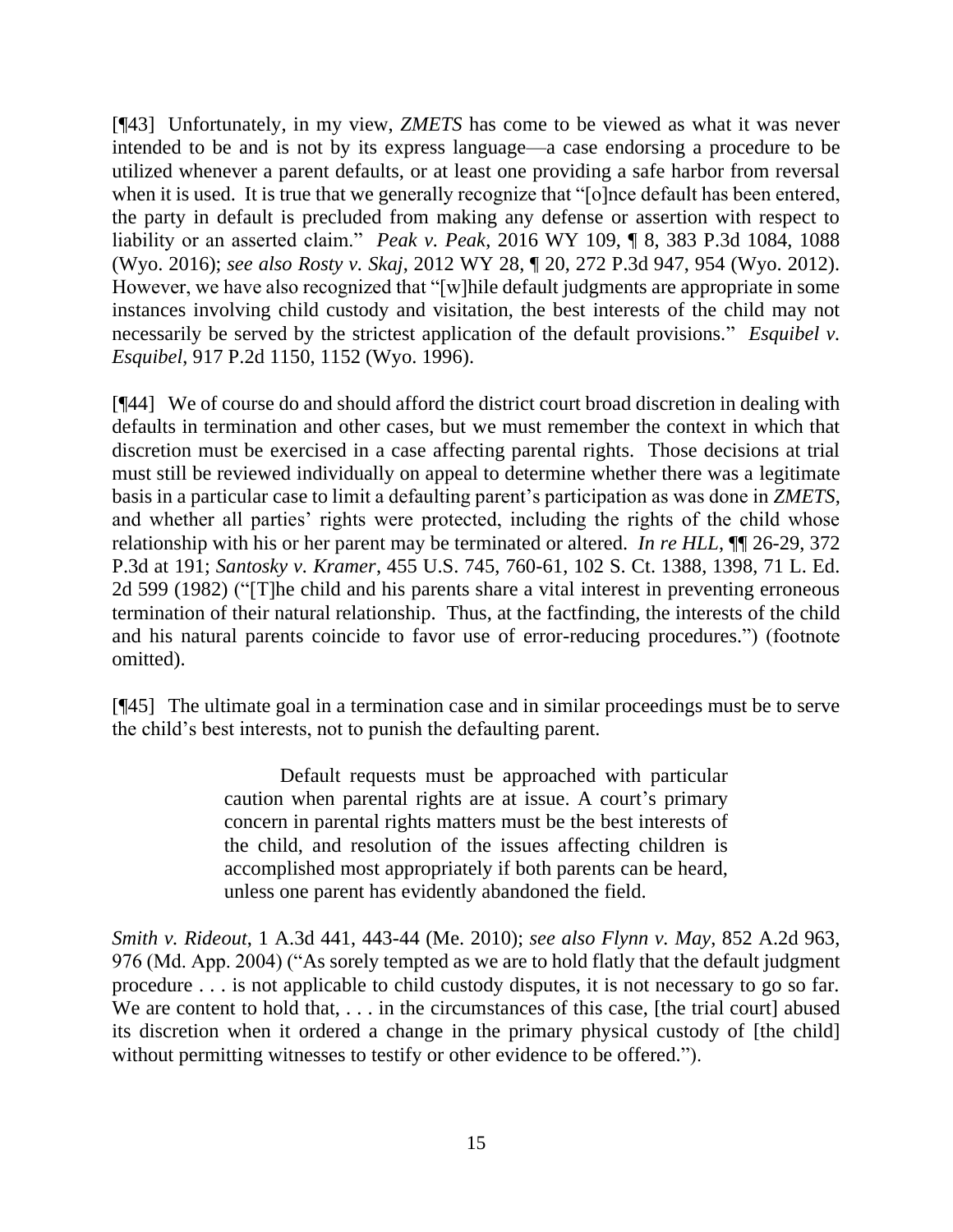[¶43] Unfortunately, in my view, *ZMETS* has come to be viewed as what it was never intended to be and is not by its express language—a case endorsing a procedure to be utilized whenever a parent defaults, or at least one providing a safe harbor from reversal when it is used. It is true that we generally recognize that "[o]nce default has been entered, the party in default is precluded from making any defense or assertion with respect to liability or an asserted claim." *Peak v. Peak*, 2016 WY 109, ¶ 8, 383 P.3d 1084, 1088 (Wyo. 2016); *see also Rosty v. Skaj*, 2012 WY 28, ¶ 20, 272 P.3d 947, 954 (Wyo. 2012). However, we have also recognized that "[w]hile default judgments are appropriate in some instances involving child custody and visitation, the best interests of the child may not necessarily be served by the strictest application of the default provisions." *Esquibel v. Esquibel*, 917 P.2d 1150, 1152 (Wyo. 1996).

[¶44] We of course do and should afford the district court broad discretion in dealing with defaults in termination and other cases, but we must remember the context in which that discretion must be exercised in a case affecting parental rights. Those decisions at trial must still be reviewed individually on appeal to determine whether there was a legitimate basis in a particular case to limit a defaulting parent's participation as was done in *ZMETS*, and whether all parties' rights were protected, including the rights of the child whose relationship with his or her parent may be terminated or altered. *In re HLL*, ¶¶ 26-29, 372 P.3d at 191; *Santosky v. Kramer*, 455 U.S. 745, 760-61, 102 S. Ct. 1388, 1398, 71 L. Ed. 2d 599 (1982) ("[T]he child and his parents share a vital interest in preventing erroneous termination of their natural relationship. Thus, at the factfinding, the interests of the child and his natural parents coincide to favor use of error-reducing procedures.") (footnote omitted).

[¶45] The ultimate goal in a termination case and in similar proceedings must be to serve the child's best interests, not to punish the defaulting parent.

> Default requests must be approached with particular caution when parental rights are at issue. A court's primary concern in parental rights matters must be the best interests of the child, and resolution of the issues affecting children is accomplished most appropriately if both parents can be heard, unless one parent has evidently abandoned the field.

*Smith v. Rideout*, 1 A.3d 441, 443-44 (Me. 2010); *see also Flynn v. May*, 852 A.2d 963, 976 (Md. App. 2004) ("As sorely tempted as we are to hold flatly that the default judgment procedure . . . is not applicable to child custody disputes, it is not necessary to go so far. We are content to hold that, . . . in the circumstances of this case, [the trial court] abused its discretion when it ordered a change in the primary physical custody of [the child] without permitting witnesses to testify or other evidence to be offered.").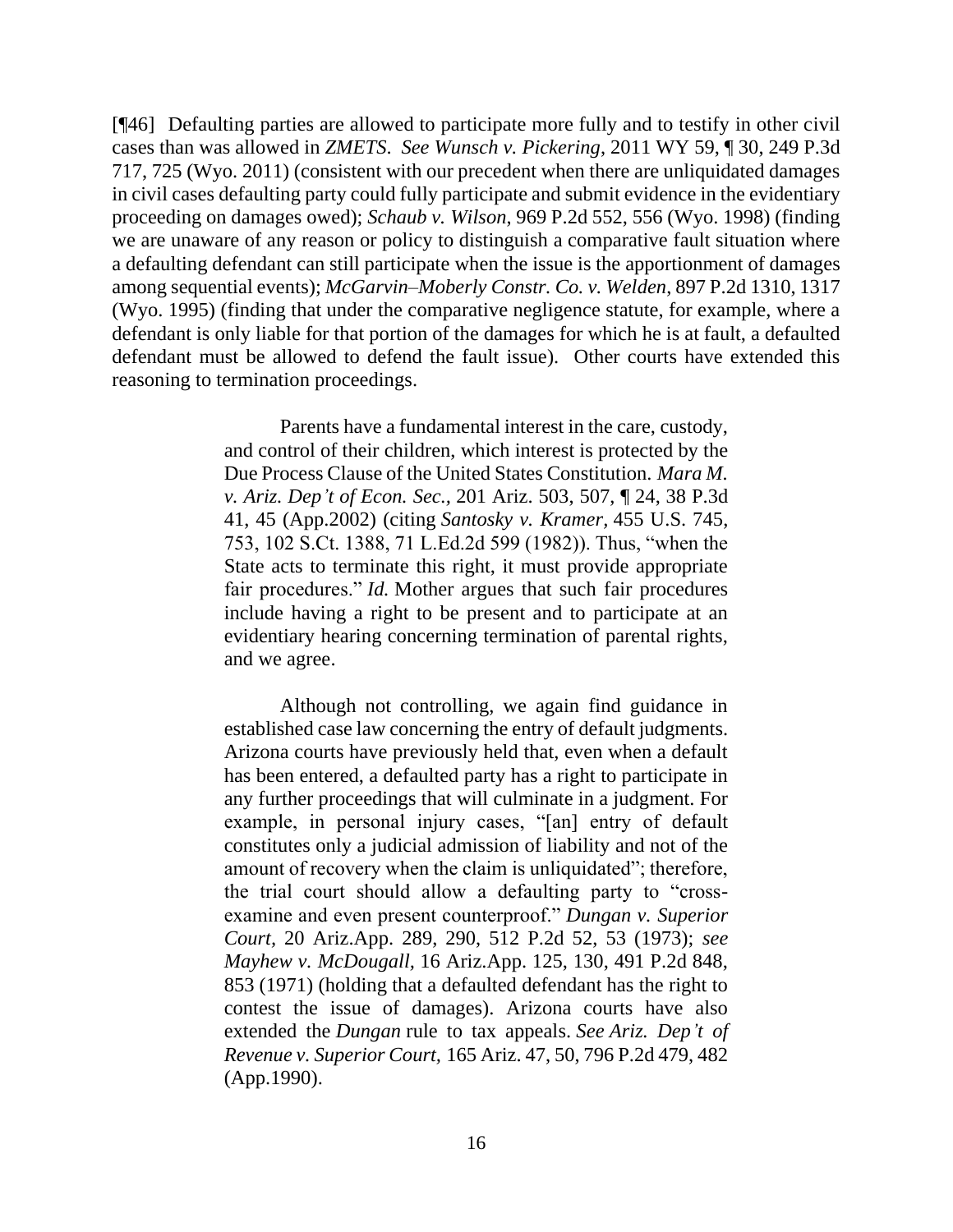[¶46] Defaulting parties are allowed to participate more fully and to testify in other civil cases than was allowed in *ZMETS*. *See Wunsch v. Pickering*, 2011 WY 59, ¶ 30, 249 P.3d 717, 725 (Wyo. 2011) (consistent with our precedent when there are unliquidated damages in civil cases defaulting party could fully participate and submit evidence in the evidentiary proceeding on damages owed); *Schaub v. Wilson*, 969 P.2d 552, 556 (Wyo. 1998) (finding we are unaware of any reason or policy to distinguish a comparative fault situation where a defaulting defendant can still participate when the issue is the apportionment of damages among sequential events); *McGarvin–Moberly Constr. Co. v. Welden*, 897 P.2d 1310, 1317 (Wyo. 1995) (finding that under the comparative negligence statute, for example, where a defendant is only liable for that portion of the damages for which he is at fault, a defaulted defendant must be allowed to defend the fault issue). Other courts have extended this reasoning to termination proceedings.

> Parents have a fundamental interest in the care, custody, and control of their children, which interest is protected by the Due Process Clause of the United States Constitution. *Mara M. v. Ariz. Dep't of Econ. Sec.,* 201 Ariz. 503, 507, ¶ 24, 38 P.3d 41, 45 (App.2002) (citing *Santosky v. Kramer,* 455 U.S. 745, 753, 102 S.Ct. 1388, 71 L.Ed.2d 599 (1982)). Thus, "when the State acts to terminate this right, it must provide appropriate fair procedures." *Id.* Mother argues that such fair procedures include having a right to be present and to participate at an evidentiary hearing concerning termination of parental rights, and we agree.

> Although not controlling, we again find guidance in established case law concerning the entry of default judgments. Arizona courts have previously held that, even when a default has been entered, a defaulted party has a right to participate in any further proceedings that will culminate in a judgment. For example, in personal injury cases, "[an] entry of default constitutes only a judicial admission of liability and not of the amount of recovery when the claim is unliquidated"; therefore, the trial court should allow a defaulting party to "crossexamine and even present counterproof." *Dungan v. Superior Court,* 20 Ariz.App. 289, 290, 512 P.2d 52, 53 (1973); *see Mayhew v. McDougall,* 16 Ariz.App. 125, 130, 491 P.2d 848, 853 (1971) (holding that a defaulted defendant has the right to contest the issue of damages). Arizona courts have also extended the *Dungan* rule to tax appeals. *See Ariz. Dep't of Revenue v. Superior Court,* 165 Ariz. 47, 50, 796 P.2d 479, 482 (App.1990).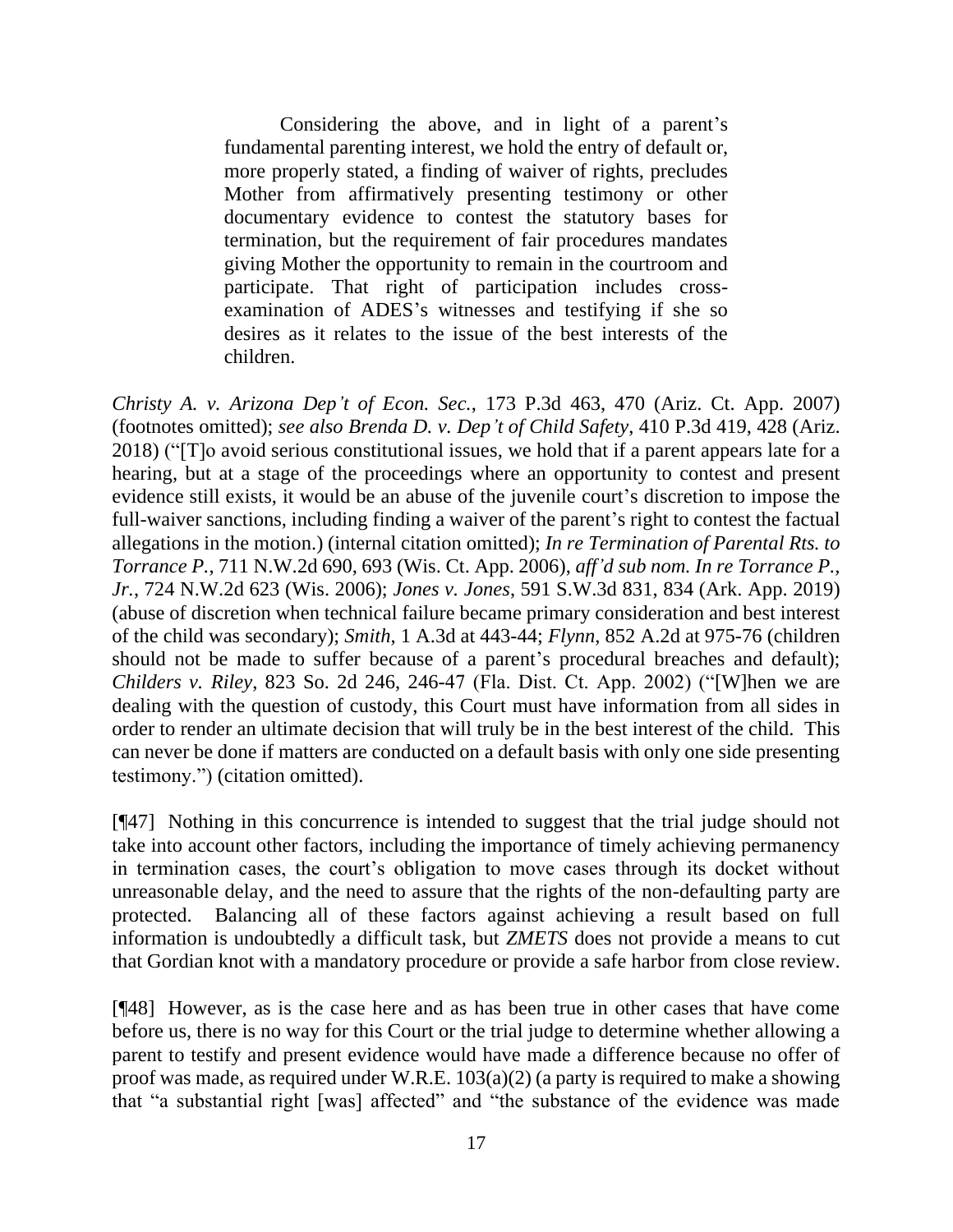Considering the above, and in light of a parent's fundamental parenting interest, we hold the entry of default or, more properly stated, a finding of waiver of rights, precludes Mother from affirmatively presenting testimony or other documentary evidence to contest the statutory bases for termination, but the requirement of fair procedures mandates giving Mother the opportunity to remain in the courtroom and participate. That right of participation includes crossexamination of ADES's witnesses and testifying if she so desires as it relates to the issue of the best interests of the children.

*Christy A. v. Arizona Dep't of Econ. Sec.*, 173 P.3d 463, 470 (Ariz. Ct. App. 2007) (footnotes omitted); *see also Brenda D. v. Dep't of Child Safety*, 410 P.3d 419, 428 (Ariz. 2018) ("[T]o avoid serious constitutional issues, we hold that if a parent appears late for a hearing, but at a stage of the proceedings where an opportunity to contest and present evidence still exists, it would be an abuse of the juvenile court's discretion to impose the full-waiver sanctions, including finding a waiver of the parent's right to contest the factual allegations in the motion.) (internal citation omitted); *In re Termination of Parental Rts. to Torrance P.*, 711 N.W.2d 690, 693 (Wis. Ct. App. 2006), *aff'd sub nom. In re Torrance P., Jr.*, 724 N.W.2d 623 (Wis. 2006); *Jones v. Jones*, 591 S.W.3d 831, 834 (Ark. App. 2019) (abuse of discretion when technical failure became primary consideration and best interest of the child was secondary); *Smith*, 1 A.3d at 443-44; *Flynn*, 852 A.2d at 975-76 (children should not be made to suffer because of a parent's procedural breaches and default); *Childers v. Riley*, 823 So. 2d 246, 246-47 (Fla. Dist. Ct. App. 2002) ("[W]hen we are dealing with the question of custody, this Court must have information from all sides in order to render an ultimate decision that will truly be in the best interest of the child. This can never be done if matters are conducted on a default basis with only one side presenting testimony.") (citation omitted).

[¶47] Nothing in this concurrence is intended to suggest that the trial judge should not take into account other factors, including the importance of timely achieving permanency in termination cases, the court's obligation to move cases through its docket without unreasonable delay, and the need to assure that the rights of the non-defaulting party are protected. Balancing all of these factors against achieving a result based on full information is undoubtedly a difficult task, but *ZMETS* does not provide a means to cut that Gordian knot with a mandatory procedure or provide a safe harbor from close review.

[¶48] However, as is the case here and as has been true in other cases that have come before us, there is no way for this Court or the trial judge to determine whether allowing a parent to testify and present evidence would have made a difference because no offer of proof was made, as required under W.R.E. 103(a)(2) (a party is required to make a showing that "a substantial right [was] affected" and "the substance of the evidence was made